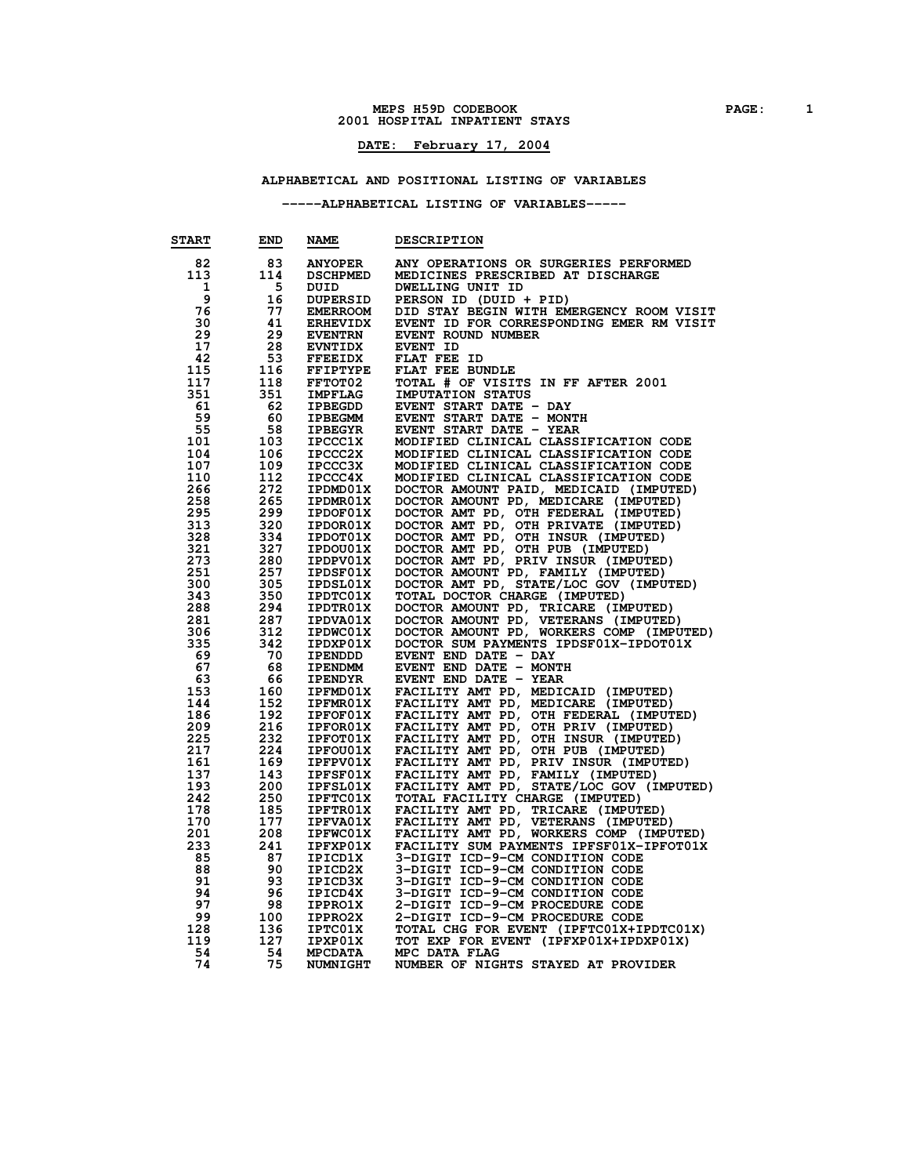#### **MEPS H59D CODEBOOK PAGE: 1 HOSPITAL INPATIENT STAYS**

## **DATE: February 17, 2004**

### **ALPHABETICAL AND POSITIONAL LISTING OF VARIABLES**

### **-----ALPHABETICAL LISTING OF VARIABLES-----**

| <b>START</b> | <b>END</b> | <b>NAME</b>                      | <b>DESCRIPTION</b>                                                               |
|--------------|------------|----------------------------------|----------------------------------------------------------------------------------|
| 82           | 83         | <b>ANYOPER</b>                   | ANY OPERATIONS OR SURGERIES PERFORMED                                            |
| 113          | 114        | <b>DSCHPMED</b>                  | MEDICINES PRESCRIBED AT DISCHARGE                                                |
| 1            | 5          | DUID                             | DWELLING UNIT ID                                                                 |
| 9            | 16         | <b>DUPERSID</b>                  | PERSON ID (DUID + PID)                                                           |
| 76           | 77         | <b>EMERROOM</b>                  | DID STAY BEGIN WITH EMERGENCY ROOM VISIT                                         |
| 30           | 41         | <b>ERHEVIDX</b>                  | EVENT ID FOR CORRESPONDING EMER RM VISIT                                         |
| 29           | 29         | <b>EVENTRN</b>                   | EVENT ROUND NUMBER                                                               |
| 17           | 28         | <b>EVNTIDX</b>                   | EVENT ID                                                                         |
| 42           | 53         | <b>FFEEIDX</b>                   | FLAT FEE ID                                                                      |
| 115          | 116        | FFIPTYPE                         | FLAT FEE BUNDLE                                                                  |
| 117          | 118        | <b>FFTOT02</b>                   | TOTAL # OF VISITS IN FF AFTER 2001                                               |
| 351          | 351        | <b>IMPFLAG</b>                   | <b>IMPUTATION STATUS</b>                                                         |
| 61           | -62        | <b>IPBEGDD</b>                   | EVENT START DATE - DAY                                                           |
| 59           | -60        | IPBEGMM                          | EVENT START DATE - MONTH                                                         |
| 55           | 58         | <b>IPBEGYR</b>                   | EVENT START DATE - YEAR                                                          |
| 101<br>104   | 103<br>106 | <b>IPCCC1X</b><br><b>IPCCC2X</b> | MODIFIED CLINICAL CLASSIFICATION CODE<br>MODIFIED CLINICAL CLASSIFICATION CODE   |
| 107          | 109        | <b>IPCCC3X</b>                   | MODIFIED CLINICAL CLASSIFICATION CODE                                            |
| 110          | 112        | <b>IPCCC4X</b>                   | MODIFIED CLINICAL CLASSIFICATION CODE                                            |
| 266          | 272        | IPDMD01X                         | DOCTOR AMOUNT PAID, MEDICAID (IMPUTED)                                           |
| 258          | 265        | IPDMR01X                         | DOCTOR AMOUNT PD, MEDICARE (IMPUTED)                                             |
| 295          | 299        | IPDOF01X                         |                                                                                  |
| 313          | 320        | IPDOR01X                         | DOCTOR AMT PD, OTH FEDERAL (IMPUTED)<br>DOCTOR AMT PD, OTH PRIVATE (IMPUTED)     |
| 328          | 334        | IPDOT01X                         | DOCTOR AMT PD, OTH INSUR (IMPUTED)                                               |
| 321          | 327        | IPDOU01X                         | DOCTOR AMT PD, OTH PUB (IMPUTED)                                                 |
| 273          | 280        | IPDPV01X                         | DOCTOR AMT PD, PRIV INSUR (IMPUTED)                                              |
| 251          | 257        | <b>IPDSF01X</b>                  | DOCTOR AMOUNT PD, FAMILY (IMPUTED)                                               |
| 300          | 305        | IPDSL01X                         | DOCTOR AMT PD, STATE/LOC GOV (IMPUTED)                                           |
| 343          | 350        | <b>IPDTC01X</b>                  | TOTAL DOCTOR CHARGE (IMPUTED)                                                    |
| 288          | 294        | <b>IPDTR01X</b>                  | DOCTOR AMOUNT PD, TRICARE (IMPUTED)                                              |
| 281          | 287        | IPDVA01X                         | DOCTOR AMOUNT PD, VETERANS (IMPUTED)<br>DOCTOR AMOUNT PD, WORKERS COMP (IMPUTED) |
| 306          | 312        | <b>IPDWC01X</b>                  |                                                                                  |
| 335          | 342<br>70  | IPDXP01X                         | DOCTOR SUM PAYMENTS IPDSF01X-IPDOT01X                                            |
| 69<br>67     | 68         | <b>IPENDDD</b><br><b>IPENDMM</b> | EVENT END DATE - DAY<br>EVENT END DATE - MONTH                                   |
| 63           | 66         | <b>IPENDYR</b>                   | EVENT END DATE - YEAR                                                            |
| 153          | 160        | <b>IPFMD01X</b>                  | FACILITY AMT PD, MEDICAID (IMPUTED)                                              |
| 144          | 152        | <b>IPFMR01X</b>                  | FACILITY AMT PD, MEDICARE (IMPUTED)                                              |
| 186          | 192        | <b>IPFOF01X</b>                  | FACILITY AMT PD, OTH FEDERAL (IMPUTED)                                           |
| 209          | 216        | <b>IPFOR01X</b>                  | FACILITY AMT PD, OTH PRIV (IMPUTED)                                              |
| 225          | 232        | <b>IPFOT01X</b>                  | FACILITY AMT PD, OTH INSUR (IMPUTED)                                             |
| 217          | 224        | IPFOU01X                         | FACILITY AMT PD, OTH PUB (IMPUTED)                                               |
| 161          | 169        | IPFPV01X                         | FACILITY AMT PD, PRIV INSUR (IMPUTED)                                            |
| 137          | 143        | <b>IPFSF01X</b>                  | FACILITY AMT PD, FAMILY (IMPUTED)                                                |
| 193          | 200        | IPFSL01X                         | FACILITY AMT PD, STATE/LOC GOV (IMPUTED)                                         |
| 242          | 250        | <b>IPFTC01X</b>                  | TOTAL FACILITY CHARGE (IMPUTED)                                                  |
| 178          | 185        | <b>IPFTR01X</b>                  | FACILITY AMT PD, TRICARE (IMPUTED)                                               |
| 170          | 177        | <b>IPFVA01X</b>                  | FACILITY AMT PD, VETERANS (IMPUTED)<br>FACILITY AMT PD, WORKERS COMP (IMPUTED)   |
| 201          | 208        | <b>IPFWC01X</b>                  |                                                                                  |
| 233          | 241        | IPFXP01X                         | FACILITY SUM PAYMENTS IPFSF01X-IPFOT01X                                          |
| 85           | 87<br>90   | IPICD1X                          | 3-DIGIT ICD-9-CM CONDITION CODE                                                  |
| 88<br>91     | 93         | IPICD2X<br>IPICD3X               | 3-DIGIT ICD-9-CM CONDITION CODE<br>3-DIGIT ICD-9-CM CONDITION CODE               |
| 94           | 96         | IPICD4X                          | 3-DIGIT ICD-9-CM CONDITION CODE                                                  |
| 97           | 98         | <b>IPPRO1X</b>                   | 2-DIGIT ICD-9-CM PROCEDURE CODE                                                  |
| 99           | 100        | <b>IPPRO2X</b>                   | 2-DIGIT ICD-9-CM PROCEDURE CODE                                                  |
| 128          | 136        | <b>IPTC01X</b>                   | TOTAL CHG FOR EVENT (IPFTC01X+IPDTC01X)                                          |
| 119          | 127        | IPXP01X                          | TOT EXP FOR EVENT (IPFXP01X+IPDXP01X)                                            |
| 54           | 54         | <b>MPCDATA</b>                   | MPC DATA FLAG                                                                    |
| 74           | 75         | <b>NUMNIGHT</b>                  | NUMBER OF NIGHTS STAYED AT PROVIDER                                              |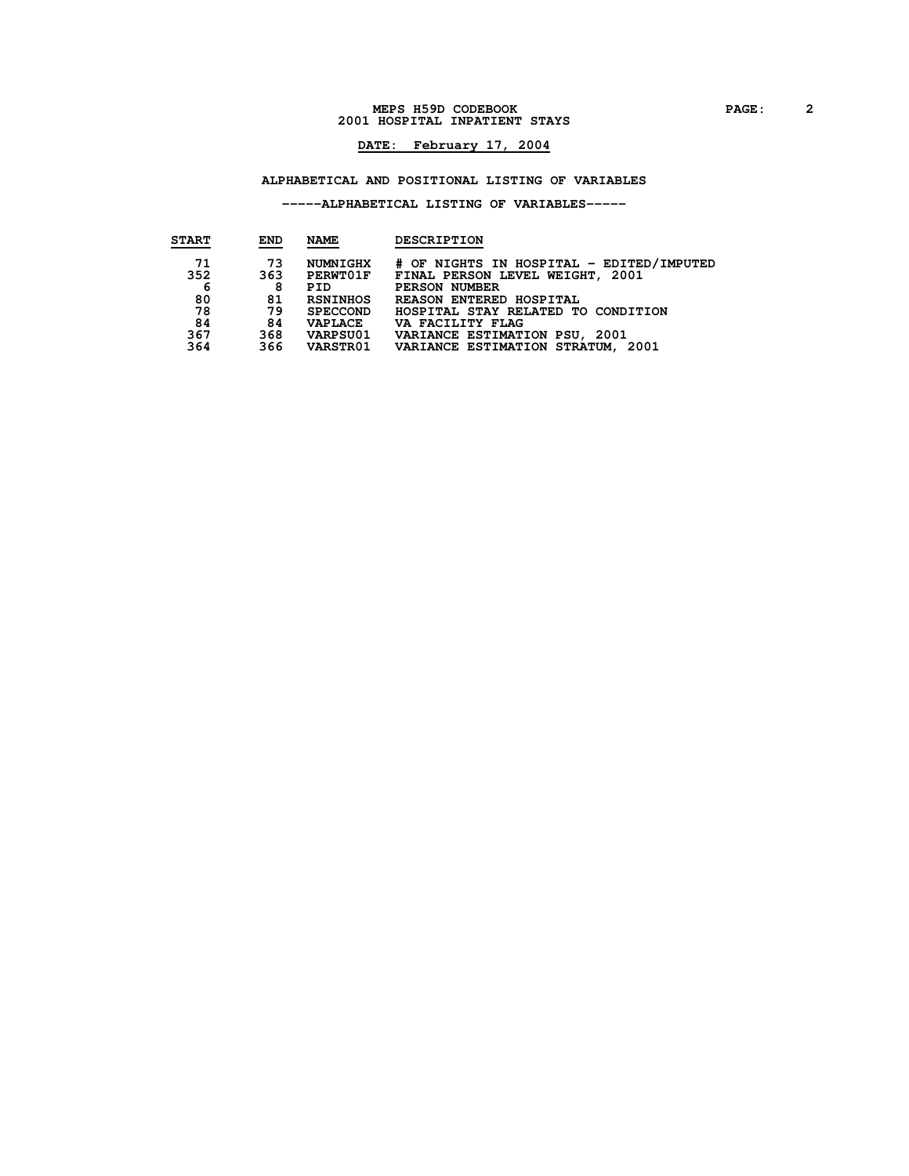#### **MEPS H59D CODEBOOK PAGE: 2 HOSPITAL INPATIENT STAYS**

## **DATE: February 17, 2004**

### **ALPHABETICAL AND POSITIONAL LISTING OF VARIABLES**

### **-----ALPHABETICAL LISTING OF VARIABLES-----**

| <b>START</b> | <b>END</b> | <b>NAME</b>     | <b>DESCRIPTION</b>                       |
|--------------|------------|-----------------|------------------------------------------|
| 71           | 73         | NUMNIGHX        | # OF NIGHTS IN HOSPITAL - EDITED/IMPUTED |
| 352          | 363        | <b>PERWTO1F</b> | FINAL PERSON LEVEL WEIGHT, 2001          |
| 6            | 8          | PID             | PERSON NUMBER                            |
| 80           | 81         | <b>RSNINHOS</b> | REASON ENTERED HOSPITAL                  |
| 78           | 79         | <b>SPECCOND</b> | HOSPITAL STAY RELATED TO CONDITION       |
| 84           | 84         | <b>VAPLACE</b>  | VA FACILITY FLAG                         |
| 367          | 368        | VARPSU01        | VARIANCE ESTIMATION PSU, 2001            |
| 364          | 366        | <b>VARSTR01</b> | VARIANCE ESTIMATION STRATUM, 2001        |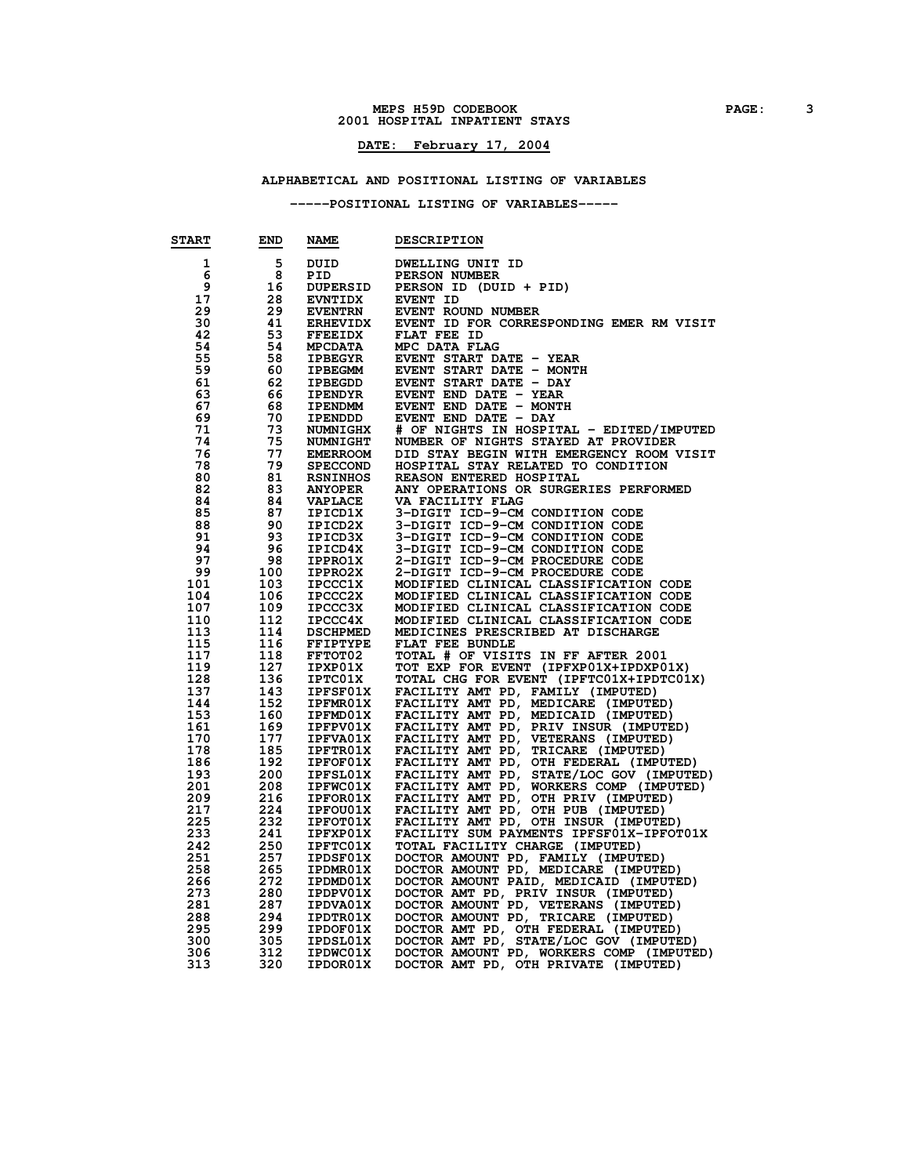#### **MEPS H59D CODEBOOK PAGE: 3 HOSPITAL INPATIENT STAYS**

## **DATE: February 17, 2004**

## **ALPHABETICAL AND POSITIONAL LISTING OF VARIABLES**

### **-----POSITIONAL LISTING OF VARIABLES-----**

| <b>START</b> | <b>END</b> | <b>NAME</b>     | <b>DESCRIPTION</b>                                                                 |
|--------------|------------|-----------------|------------------------------------------------------------------------------------|
| 1            | 5          | DUID            | DWELLING UNIT ID                                                                   |
| 6            | 8          | PID             | PERSON NUMBER                                                                      |
| 9            | 16         | <b>DUPERSID</b> | PERSON ID (DUID + PID)                                                             |
| 17           | 28         | <b>EVNTIDX</b>  | <b>EVENT ID</b>                                                                    |
| 29           | 29         | <b>EVENTRN</b>  | EVENT ROUND NUMBER                                                                 |
| 30           | 41         | <b>ERHEVIDX</b> | EVENT ID FOR CORRESPONDING EMER RM VISIT                                           |
| 42           | 53         | <b>FFEEIDX</b>  | FLAT FEE ID                                                                        |
| 54           | -54        | <b>MPCDATA</b>  | MPC DATA FLAG                                                                      |
| 55           | -58        | <b>IPBEGYR</b>  | EVENT START DATE - YEAR                                                            |
| 59           | -60        | IPBEGMM         | EVENT START DATE - MONTH                                                           |
| 61           | 62         | <b>IPBEGDD</b>  | EVENT START DATE - DAY                                                             |
| 63           | 66         | <b>IPENDYR</b>  | EVENT END DATE - YEAR                                                              |
| 67           | -68        | <b>IPENDMM</b>  | EVENT END DATE - MONTH                                                             |
| 69           | 70         | IPENDDD         | EVENT END DATE - DAY                                                               |
| 71           | 73         | <b>NUMNIGHX</b> | # OF NIGHTS IN HOSPITAL - EDITED/IMPUTED                                           |
| 74           | 75         | <b>NUMNIGHT</b> | NUMBER OF NIGHTS STAYED AT PROVIDER                                                |
| 76           | 77         | <b>EMERROOM</b> | DID STAY BEGIN WITH EMERGENCY ROOM VISIT                                           |
| 78           | 79         | <b>SPECCOND</b> | HOSPITAL STAY RELATED TO CONDITION                                                 |
| 80           | 81         | <b>RSNINHOS</b> | REASON ENTERED HOSPITAL                                                            |
| 82           | 83         | <b>ANYOPER</b>  | ANY OPERATIONS OR SURGERIES PERFORMED                                              |
| 84           | 84         | <b>VAPLACE</b>  | VA FACILITY FLAG                                                                   |
| 85           | 87         | IPICD1X         | 3-DIGIT ICD-9-CM CONDITION CODE                                                    |
| 88           | - 90       | IPICD2X         | 3-DIGIT ICD-9-CM CONDITION CODE                                                    |
| 91           | - 93       | IPICD3X         | 3-DIGIT ICD-9-CM CONDITION CODE                                                    |
| 94           | 96         | IPICD4X         | 3-DIGIT ICD-9-CM CONDITION CODE                                                    |
| 97           | 98         | <b>IPPRO1X</b>  | 2-DIGIT ICD-9-CM PROCEDURE CODE                                                    |
| 99           | 100        | <b>IPPRO2X</b>  | 2-DIGIT ICD-9-CM PROCEDURE CODE                                                    |
| 101          | 103        | <b>IPCCC1X</b>  | MODIFIED CLINICAL CLASSIFICATION CODE                                              |
| 104          | 106        | <b>IPCCC2X</b>  | MODIFIED CLINICAL CLASSIFICATION CODE                                              |
| 107          | 109        | IPCCC3X         | MODIFIED CLINICAL CLASSIFICATION CODE                                              |
| 110          | 112        | <b>IPCCC4X</b>  | MODIFIED CLINICAL CLASSIFICATION CODE                                              |
| 113          | 114        | <b>DSCHPMED</b> | MEDICINES PRESCRIBED AT DISCHARGE                                                  |
| 115          | 116        | <b>FFIPTYPE</b> | FLAT FEE BUNDLE                                                                    |
| 117          | 118        | <b>FFTOT02</b>  | TOTAL # OF VISITS IN FF AFTER 2001                                                 |
| 119          | 127        | IPXP01X         | TOT EXP FOR EVENT (IPFXP01X+IPDXP01X)                                              |
| 128          | 136        | <b>IPTC01X</b>  | TOTAL CHG FOR EVENT (IPFTC01X+IPDTC01X)                                            |
| 137          | 143        | <b>IPFSF01X</b> | FACILITY AMT PD, FAMILY (IMPUTED)                                                  |
| 144          | 152        | <b>IPFMR01X</b> | FACILITY AMT PD, MEDICARE (IMPUTED)                                                |
| 153          | 160        | <b>IPFMD01X</b> | FACILITY AMT PD, MEDICAID (IMPUTED)                                                |
| 161          | 169        | IPFPV01X        | FACILITY AMT PD, PRIV INSUR (IMPUTED)                                              |
| 170          | 177        | <b>IPFVA01X</b> | FACILITY AMT PD, VETERANS (IMPUTED)                                                |
| 178          | 185        | <b>IPFTR01X</b> | FACILITY AMT PD, TRICARE (IMPUTED)                                                 |
| 186          | 192        | <b>IPFOF01X</b> | FACILITY AMT PD, OTH FEDERAL (IMPUTED)<br>FACILITY AMT PD, STATE/LOC GOV (IMPUTED) |
| 193          | 200        | <b>IPFSL01X</b> |                                                                                    |
| 201          | 208        | <b>IPFWC01X</b> | FACILITY AMT PD, WORKERS COMP (IMPUTED)                                            |
| 209          | 216        | <b>IPFOR01X</b> | FACILITY AMT PD, OTH PRIV (IMPUTED)                                                |
| 217          | 224        | <b>IPFOU01X</b> | FACILITY AMT PD, OTH PUB (IMPUTED)                                                 |
| 225          | 232        | <b>IPFOT01X</b> | FACILITY AMT PD, OTH INSUR (IMPUTED)                                               |
| 233          | 241        | <b>IPFXP01X</b> | FACILITY SUM PAYMENTS IPFSF01X-IPFOT01X                                            |
| 242          | 250        | <b>IPFTC01X</b> | TOTAL FACILITY CHARGE (IMPUTED)                                                    |
| 251          | 257        | <b>IPDSF01X</b> | DOCTOR AMOUNT PD, FAMILY (IMPUTED)                                                 |
| 258          | 265        | <b>IPDMR01X</b> | DOCTOR AMOUNT PD, MEDICARE (IMPUTED)                                               |
| 266          | 272        | IPDMD01X        | DOCTOR AMOUNT PAID, MEDICAID (IMPUTED)                                             |
| 273          | 280        | IPDPV01X        | DOCTOR AMT PD, PRIV INSUR (IMPUTED)                                                |
| 281          | 287        | IPDVA01X        | DOCTOR AMOUNT PD, VETERANS (IMPUTED)<br>DOCTOR AMOUNT PD, TRICARE (IMPUTED)        |
| 288          | 294        | <b>IPDTRO1X</b> |                                                                                    |
| 295          | 299        | IPDOF01X        | DOCTOR AMT PD, OTH FEDERAL (IMPUTED)<br>DOCTOR AMT PD, STATE/LOC GOV (IMPUTED)     |
| 300          | 305        | IPDSL01X        |                                                                                    |
| 306          | 312        | <b>IPDWC01X</b> | DOCTOR AMOUNT PD, WORKERS COMP (IMPUTED)                                           |
| 313          | 320        | IPDOR01X        | DOCTOR AMT PD, OTH PRIVATE (IMPUTED)                                               |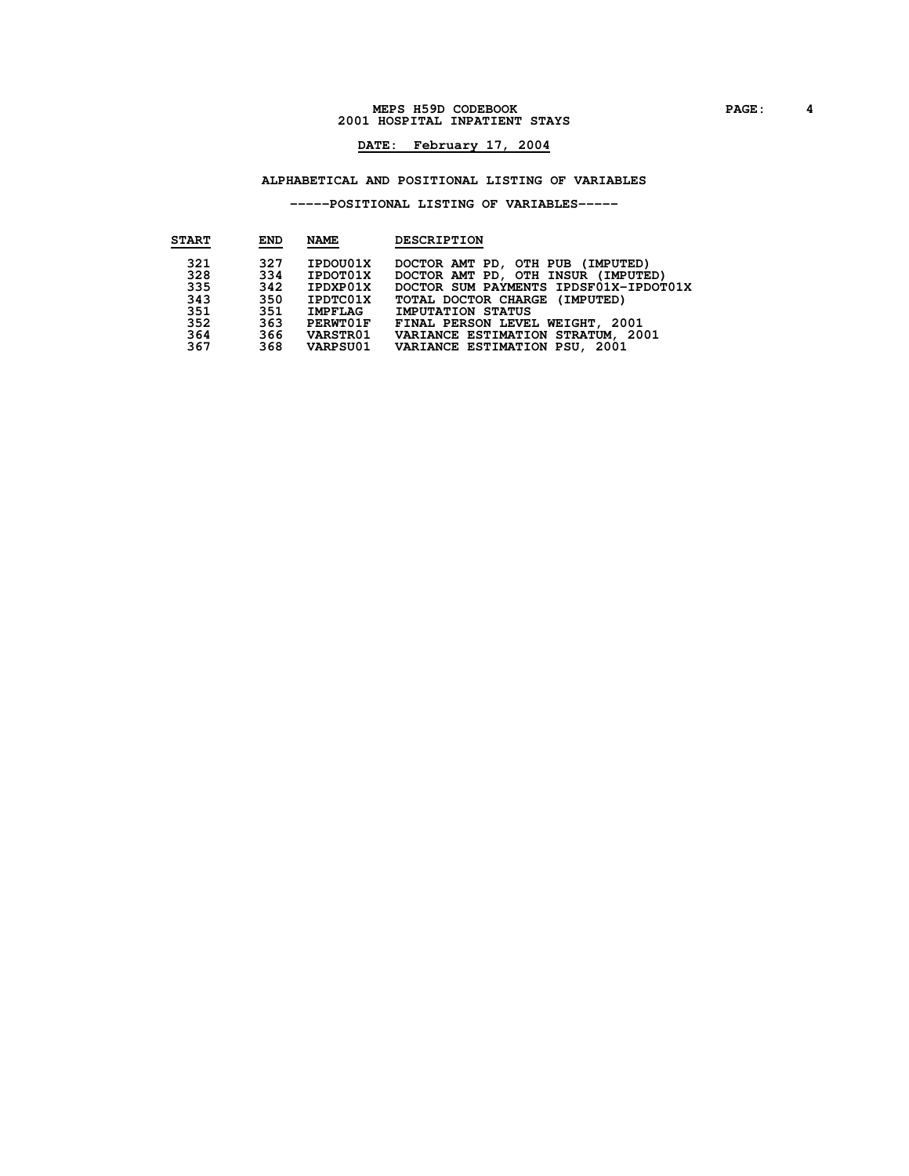#### **MEPS H59D CODEBOOK PAGE: 4 HOSPITAL INPATIENT STAYS**

## **DATE: February 17, 2004**

### **ALPHABETICAL AND POSITIONAL LISTING OF VARIABLES**

### **-----POSITIONAL LISTING OF VARIABLES-----**

| <b>START</b> | <b>END</b> | <b>NAME</b>  | <b>DESCRIPTION</b>                         |
|--------------|------------|--------------|--------------------------------------------|
| 321          | 327        | IPDOU01X     | DOCTOR AMT PD, OTH PUB (IMPUTED)           |
| 328          |            | 334 IPDOT01X | DOCTOR AMT PD, OTH INSUR (IMPUTED)         |
| 335          |            | 342 IPDXP01X | DOCTOR SUM PAYMENTS IPDSF01X-IPDOT01X      |
| 343          |            | 350 IPDTC01X | TOTAL DOCTOR CHARGE (IMPUTED)              |
| 351          |            | 351 IMPFLAG  | <b>IMPUTATION STATUS</b>                   |
| 352          |            | 363 PERWT01F | FINAL PERSON LEVEL WEIGHT, 2001            |
| 364          |            | 366 VARSTR01 | VARIANCE ESTIMATION STRATUM, 2001          |
| 367          |            |              | 368 VARPSU01 VARIANCE ESTIMATION PSU, 2001 |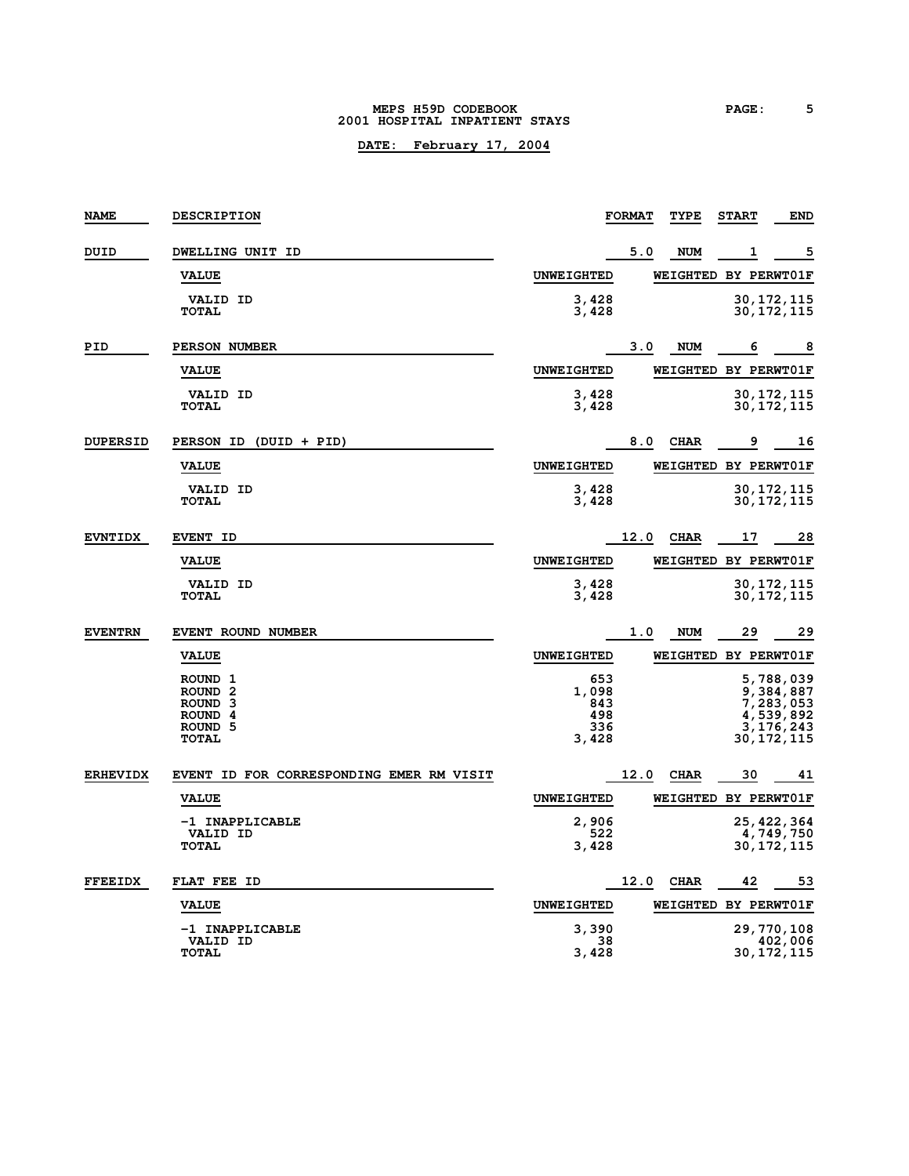#### **MEPS H59D CODEBOOK PAGE: 5 2001 HOSPITAL INPATIENT STAYS**

| <b>NAME</b>     | <b>DESCRIPTION</b>                                                                                              |                                            | <b>FORMAT</b> | TYPE                 | <b>START</b> | <b>END</b>                                                                  |
|-----------------|-----------------------------------------------------------------------------------------------------------------|--------------------------------------------|---------------|----------------------|--------------|-----------------------------------------------------------------------------|
| DUID            | DWELLING UNIT ID                                                                                                |                                            | 5.0           | <b>NUM</b>           | 1            | 5                                                                           |
|                 | <b>VALUE</b>                                                                                                    | <b>UNWEIGHTED</b>                          |               | WEIGHTED BY PERWT01F |              |                                                                             |
|                 | <b>VALID ID</b><br><b>TOTAL</b>                                                                                 | 3,428<br>3,428                             |               |                      |              | 30, 172, 115<br>30,172,115                                                  |
| PID             | PERSON NUMBER                                                                                                   |                                            | 3.0           | <b>NUM</b>           | 6            | 8                                                                           |
|                 | <b>VALUE</b>                                                                                                    | <b>UNWEIGHTED</b>                          |               | WEIGHTED BY PERWT01F |              |                                                                             |
|                 | <b>VALID ID</b><br><b>TOTAL</b>                                                                                 | 3,428<br>3,428                             |               |                      |              | 30,172,115<br>30,172,115                                                    |
| <b>DUPERSID</b> | PERSON ID (DUID + PID)                                                                                          |                                            | 8.0           | <b>CHAR</b>          | 9            | 16                                                                          |
|                 | <b>VALUE</b>                                                                                                    | <b>UNWEIGHTED</b>                          |               | WEIGHTED BY PERWT01F |              |                                                                             |
|                 | <b>VALID ID</b><br><b>TOTAL</b>                                                                                 | 3,428<br>3,428                             |               |                      |              | 30,172,115<br>30,172,115                                                    |
| <b>EVNTIDX</b>  | <b>EVENT ID</b>                                                                                                 |                                            | 12.0          | <b>CHAR</b>          | 17           | 28                                                                          |
|                 | <b>VALUE</b>                                                                                                    | <b>UNWEIGHTED</b>                          |               | WEIGHTED BY PERWT01F |              |                                                                             |
|                 | <b>VALID ID</b><br><b>TOTAL</b>                                                                                 | 3,428<br>3,428                             |               |                      |              | 30,172,115<br>30, 172, 115                                                  |
| <b>EVENTRN</b>  | EVENT ROUND NUMBER                                                                                              |                                            | 1.0           | <b>NUM</b>           | 29           | 29                                                                          |
|                 | <b>VALUE</b>                                                                                                    | <b>UNWEIGHTED</b>                          |               | WEIGHTED BY PERWT01F |              |                                                                             |
|                 | ROUND 1<br>ROUND <sub>2</sub><br>ROUND <sub>3</sub><br>ROUND <sub>4</sub><br>ROUND <sub>5</sub><br><b>TOTAL</b> | 653<br>1,098<br>843<br>498<br>336<br>3,428 |               |                      |              | 5,788,039<br>9,384,887<br>7,283,053<br>4,539,892<br>3,176,243<br>30,172,115 |
| <b>ERHEVIDX</b> | EVENT ID FOR CORRESPONDING EMER RM VISIT                                                                        |                                            | 12.0          | <b>CHAR</b>          | 30           | 41                                                                          |
|                 | <b>VALUE</b>                                                                                                    | <b>UNWEIGHTED</b>                          |               | WEIGHTED BY PERWT01F |              |                                                                             |
|                 | -1 INAPPLICABLE<br><b>VALID ID</b><br><b>TOTAL</b>                                                              | 2,906<br>522<br>3,428                      |               |                      |              | 25, 422, 364<br>4,749,750<br>30,172,115                                     |
| <b>FFEEIDX</b>  | FLAT FEE ID                                                                                                     |                                            | 12.0          | <b>CHAR</b>          | 42           | 53                                                                          |
|                 | <b>VALUE</b>                                                                                                    | <b>UNWEIGHTED</b>                          |               | WEIGHTED BY PERWT01F |              |                                                                             |
|                 | -1 INAPPLICABLE<br>VALID ID<br><b>TOTAL</b>                                                                     | 3,390<br>38<br>3,428                       |               |                      |              | 29,770,108<br>402,006<br>30,172,115                                         |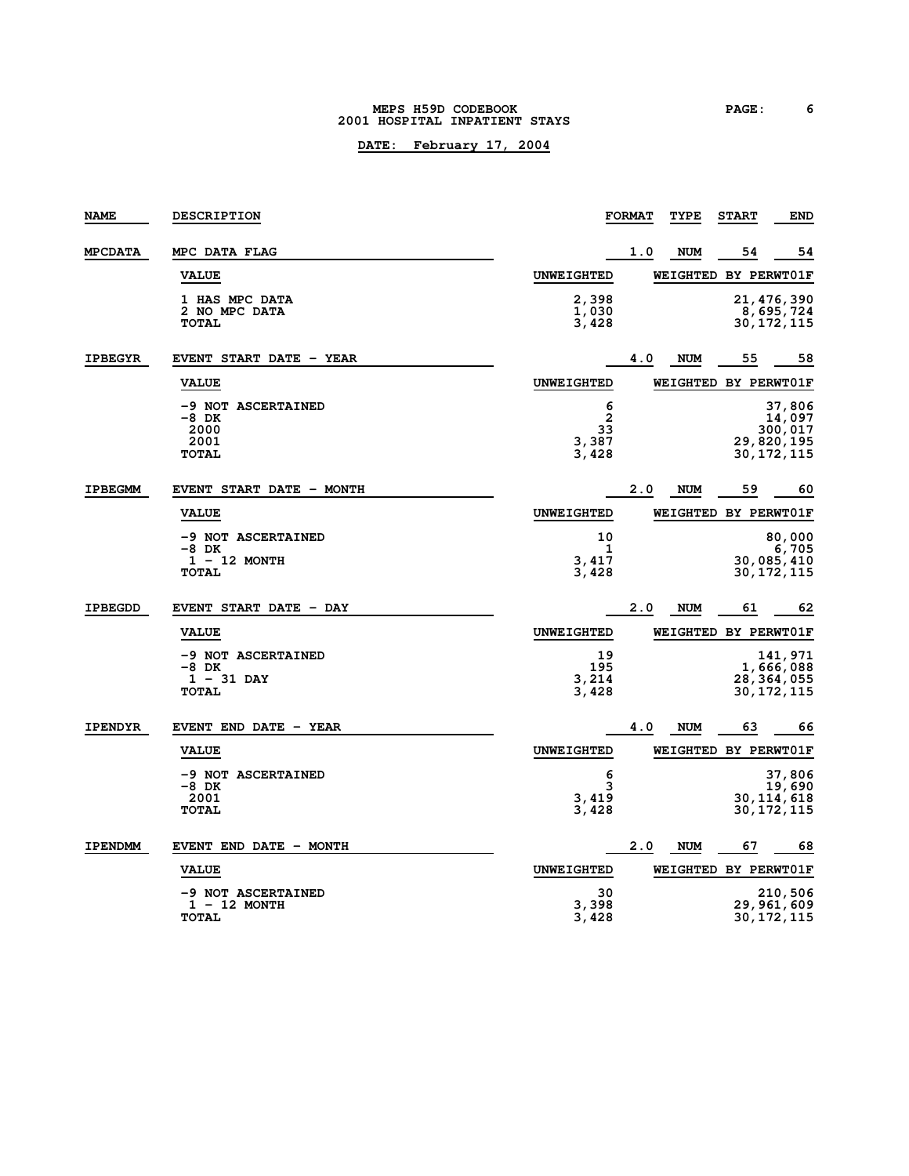#### **MEPS H59D CODEBOOK PAGE: 6 2001 HOSPITAL INPATIENT STAYS**

| <b>NAME</b>    | <b>DESCRIPTION</b>                                            |                                | <b>FORMAT</b> | TYPE                        | <b>START</b> | END                                                       |
|----------------|---------------------------------------------------------------|--------------------------------|---------------|-----------------------------|--------------|-----------------------------------------------------------|
| <b>MPCDATA</b> | MPC DATA FLAG                                                 |                                | 1.0           | <b>NUM</b>                  | 54           | 54                                                        |
|                | <b>VALUE</b>                                                  | <b>UNWEIGHTED</b>              |               | <b>WEIGHTED BY PERWT01F</b> |              |                                                           |
|                | <b>1 HAS MPC DATA</b><br>2 NO MPC DATA<br><b>TOTAL</b>        | 2,398<br>1,030<br>3,428        |               |                             |              | 21,476,390<br>8,695,724<br>30,172,115                     |
| <b>IPBEGYR</b> | EVENT START DATE - YEAR                                       |                                | 4.0           | <b>NUM</b>                  | 55           | 58                                                        |
|                | <b>VALUE</b>                                                  | <b>UNWEIGHTED</b>              |               | <b>WEIGHTED BY PERWT01F</b> |              |                                                           |
|                | -9 NOT ASCERTAINED<br>-8 DK<br>2000<br>2001<br><b>TOTAL</b>   | 6<br>2<br>33<br>3,387<br>3,428 |               |                             |              | 37,806<br>14,097<br>300,017<br>29,820,195<br>30, 172, 115 |
| <b>IPBEGMM</b> | EVENT START DATE - MONTH                                      |                                | 2.0           | <b>NUM</b>                  | 59           | 60                                                        |
|                | <b>VALUE</b>                                                  | <b>UNWEIGHTED</b>              |               | <b>WEIGHTED BY PERWT01F</b> |              |                                                           |
|                | -9 NOT ASCERTAINED<br>-8 DK<br>$1 - 12$ MONTH<br><b>TOTAL</b> | 10<br>1<br>3,417<br>3,428      |               |                             |              | 80,000<br>6,705<br>30,085,410<br>30,172,115               |
| <b>IPBEGDD</b> | EVENT START DATE - DAY                                        |                                | 2.0           | <b>NUM</b>                  | 61           | 62                                                        |
|                | <b>VALUE</b>                                                  | <b>UNWEIGHTED</b>              |               | <b>WEIGHTED BY PERWT01F</b> |              |                                                           |
|                | -9 NOT ASCERTAINED<br>-8 DK<br>$1 - 31$ DAY<br><b>TOTAL</b>   | 19<br>195<br>3,214<br>3,428    |               |                             |              | 141,971<br>1,666,088<br>28, 364, 055<br>30,172,115        |
| <b>IPENDYR</b> | EVENT END DATE - YEAR                                         |                                | 4.0           | <b>NUM</b>                  | 63           | 66                                                        |
|                | <b>VALUE</b>                                                  | <b>UNWEIGHTED</b>              |               | <b>WEIGHTED BY PERWT01F</b> |              |                                                           |
|                | -9 NOT ASCERTAINED<br>-8 DK<br>2001<br><b>TOTAL</b>           | 6<br>3<br>3,419<br>3,428       |               |                             |              | 37,806<br>19,690<br>30, 114, 618<br>30,172,115            |
| <b>IPENDMM</b> | EVENT END DATE - MONTH                                        |                                | 2.0           | <b>NUM</b>                  | 67           | 68                                                        |
|                | <b>VALUE</b>                                                  | <b>UNWEIGHTED</b>              |               | WEIGHTED BY PERWT01F        |              |                                                           |
|                | -9 NOT ASCERTAINED<br>$1 - 12$ MONTH<br><b>TOTAL</b>          | 30<br>3,398<br>3,428           |               |                             |              | 210,506<br>29,961,609<br>30,172,115                       |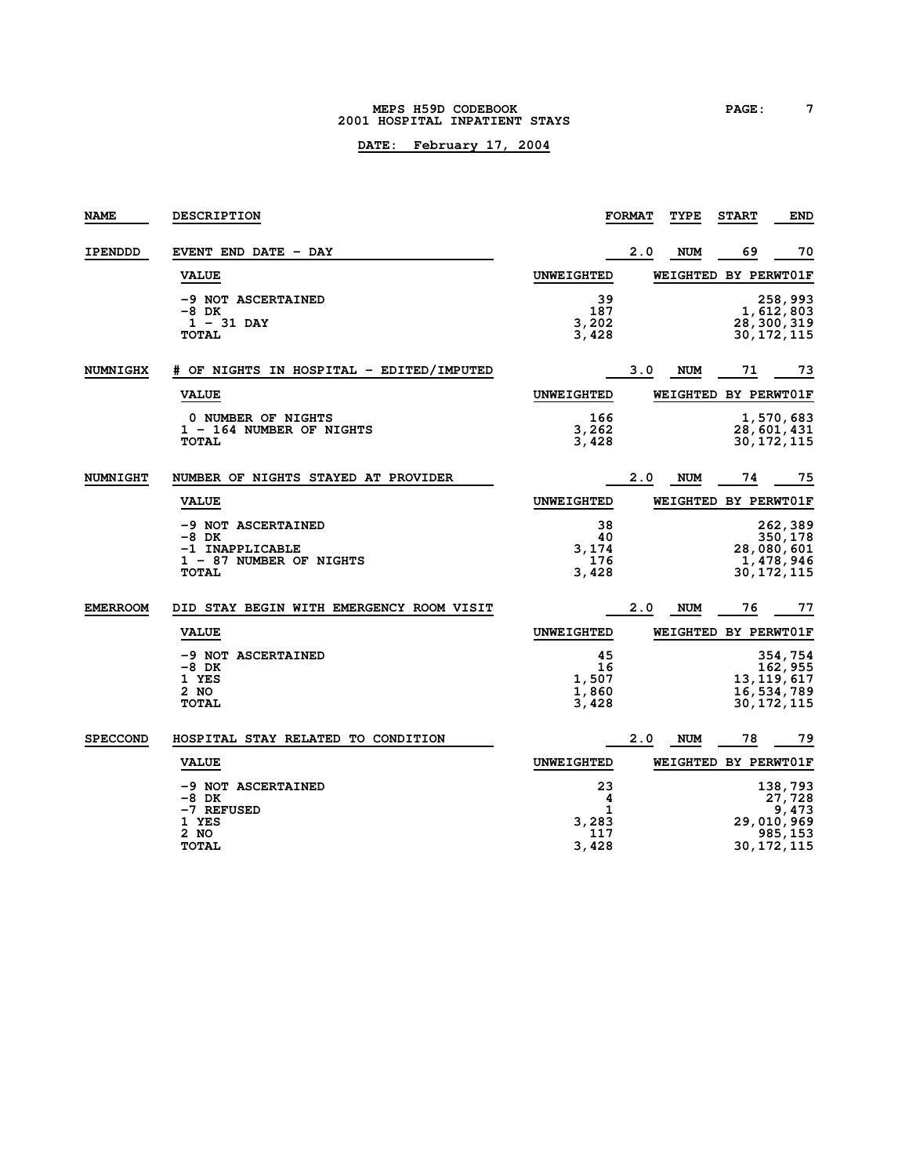#### **MEPS H59D CODEBOOK PAGE: 7 2001 HOSPITAL INPATIENT STAYS**

| <b>NAME</b>     | <b>DESCRIPTION</b>                                                                          |                                       | <b>FORMAT</b> | TYPE                 | <b>START</b> | END                                                                 |
|-----------------|---------------------------------------------------------------------------------------------|---------------------------------------|---------------|----------------------|--------------|---------------------------------------------------------------------|
| IPENDDD         | EVENT END DATE - DAY                                                                        |                                       | 2.0           | <b>NUM</b>           | 69           | 70                                                                  |
|                 | <b>VALUE</b>                                                                                | <b>UNWEIGHTED</b>                     |               | WEIGHTED BY PERWT01F |              |                                                                     |
|                 | -9 NOT ASCERTAINED<br>$-8$ DK<br>$1 - 31$ DAY<br><b>TOTAL</b>                               | 39<br>187<br>3,202<br>3,428           |               |                      |              | 258,993<br>1,612,803<br>28, 300, 319<br>30,172,115                  |
| <b>NUMNIGHX</b> | # OF NIGHTS IN HOSPITAL - EDITED/IMPUTED                                                    |                                       | 3.0           | <b>NUM</b>           | 71           | 73                                                                  |
|                 | <b>VALUE</b>                                                                                | <b>UNWEIGHTED</b>                     |               | WEIGHTED BY PERWT01F |              |                                                                     |
|                 | 0 NUMBER OF NIGHTS<br>1 - 164 NUMBER OF NIGHTS<br><b>TOTAL</b>                              | 166<br>3,262<br>3,428                 |               |                      |              | 1,570,683<br>28,601,431<br>30, 172, 115                             |
| <b>NUMNIGHT</b> | NUMBER OF NIGHTS STAYED AT PROVIDER                                                         |                                       | 2.0           | NUM                  | 74           | 75                                                                  |
|                 | <b>VALUE</b>                                                                                | <b>UNWEIGHTED</b>                     |               | WEIGHTED BY PERWT01F |              |                                                                     |
|                 | -9 NOT ASCERTAINED<br>$-8$ DK<br>-1 INAPPLICABLE<br>1 - 87 NUMBER OF NIGHTS<br><b>TOTAL</b> | 38<br>40<br>3,174<br>176<br>3,428     |               |                      |              | 262,389<br>350,178<br>28,080,601<br>1,478,946<br>30, 172, 115       |
| <b>EMERROOM</b> | DID STAY BEGIN WITH EMERGENCY ROOM VISIT                                                    |                                       | 2.0           | <b>NUM</b>           | 76           | 77                                                                  |
|                 | <b>VALUE</b>                                                                                | <b>UNWEIGHTED</b>                     |               | WEIGHTED BY PERWT01F |              |                                                                     |
|                 | -9 NOT ASCERTAINED<br>-8 DK<br>1 YES<br>2 NO<br><b>TOTAL</b>                                | 45<br>16<br>1,507<br>1,860<br>3,428   |               |                      |              | 354,754<br>162, 955<br>13, 119, 617<br>16, 534, 789<br>30, 172, 115 |
| <b>SPECCOND</b> | HOSPITAL STAY RELATED TO CONDITION                                                          |                                       | 2.0           | <b>NUM</b>           | 78           | 79                                                                  |
|                 | <b>VALUE</b>                                                                                | <b>UNWEIGHTED</b>                     |               | WEIGHTED BY PERWT01F |              |                                                                     |
|                 | -9 NOT ASCERTAINED<br>-8 DK<br>-7 REFUSED<br>1 YES<br>2 NO<br><b>TOTAL</b>                  | 23<br>4<br>1<br>3,283<br>117<br>3,428 |               |                      |              | 138,793<br>27,728<br>9,473<br>29,010,969<br>985,153<br>30, 172, 115 |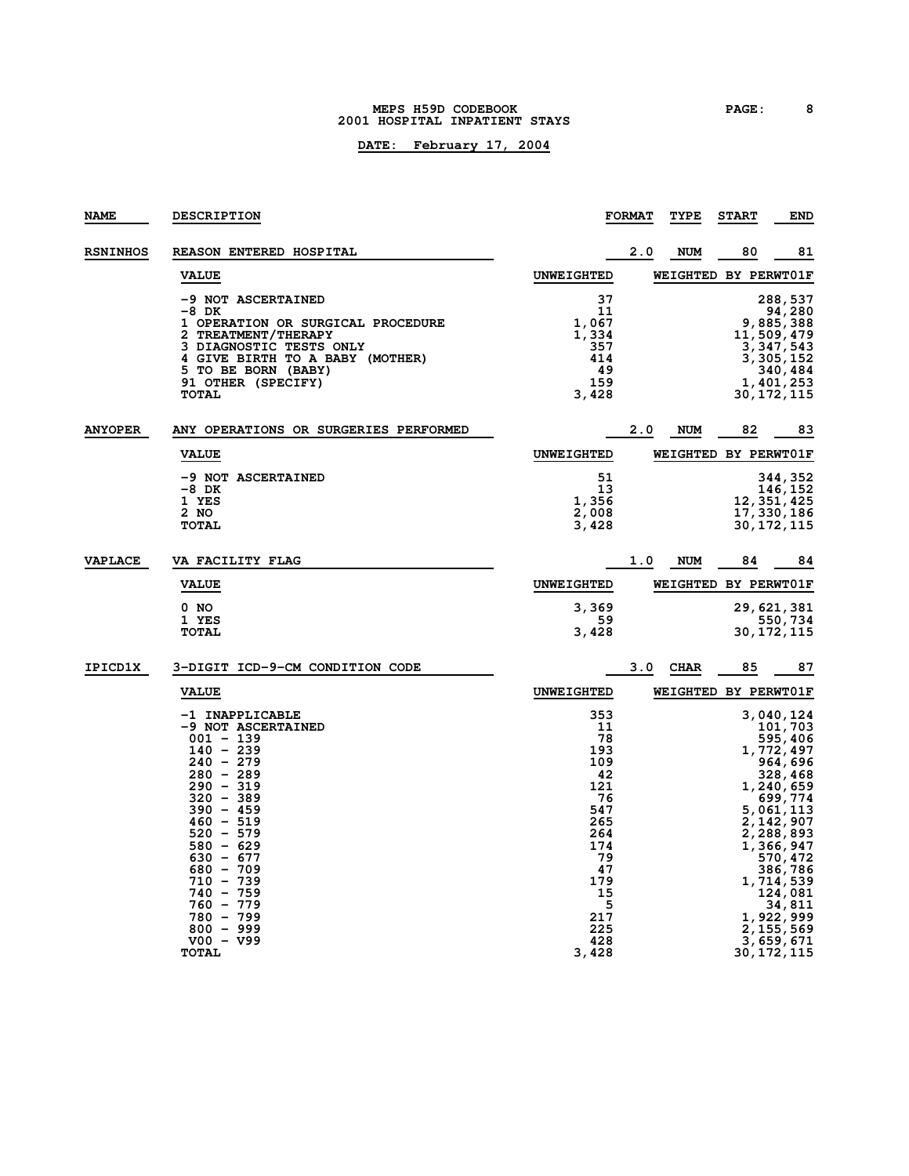#### **MEPS H59D CODEBOOK PAGE: 8 2001 HOSPITAL INPATIENT STAYS**

| <b>NAME</b>     | <b>DESCRIPTION</b>                                                                                                                                                                                                                                                                                                |                                                                                                                                 | <b>FORMAT</b> | TYPE                        | <b>START</b> | END                                                                                                                                                                                                                                             |
|-----------------|-------------------------------------------------------------------------------------------------------------------------------------------------------------------------------------------------------------------------------------------------------------------------------------------------------------------|---------------------------------------------------------------------------------------------------------------------------------|---------------|-----------------------------|--------------|-------------------------------------------------------------------------------------------------------------------------------------------------------------------------------------------------------------------------------------------------|
| <b>RSNINHOS</b> | REASON ENTERED HOSPITAL                                                                                                                                                                                                                                                                                           |                                                                                                                                 | 2.0           | <b>NUM</b>                  | 80           | 81                                                                                                                                                                                                                                              |
|                 | <b>VALUE</b>                                                                                                                                                                                                                                                                                                      | <b>UNWEIGHTED</b>                                                                                                               |               | WEIGHTED BY PERWT01F        |              |                                                                                                                                                                                                                                                 |
|                 | <b>-9 NOT ASCERTAINED</b><br>$-8$ DK<br>1 OPERATION OR SURGICAL PROCEDURE<br>2 TREATMENT/THERAPY<br>3 DIAGNOSTIC TESTS ONLY<br>4 GIVE BIRTH TO A BABY (MOTHER)<br>5 TO BE BORN (BABY)<br>91 OTHER (SPECIFY)<br><b>TOTAL</b>                                                                                       | 37<br>11<br>1,067<br>1,334<br>357<br>414<br>49<br>159<br>3,428                                                                  |               |                             |              | 288,537<br>94,280<br>9,885,388<br>11,509,479<br>3,347,543<br>3,305,152<br>340,484<br>1,401,253<br>30,172,115                                                                                                                                    |
| <b>ANYOPER</b>  | ANY OPERATIONS OR SURGERIES PERFORMED                                                                                                                                                                                                                                                                             |                                                                                                                                 | 2.0           | <b>NUM</b>                  | 82           | 83                                                                                                                                                                                                                                              |
|                 | <b>VALUE</b>                                                                                                                                                                                                                                                                                                      | <b>UNWEIGHTED</b>                                                                                                               |               | WEIGHTED BY PERWT01F        |              |                                                                                                                                                                                                                                                 |
|                 | -9 NOT ASCERTAINED<br>-8 DK<br>1 YES                                                                                                                                                                                                                                                                              | 51<br>13<br>1,356                                                                                                               |               |                             |              | 344,352<br>146,152<br>12,351,425                                                                                                                                                                                                                |
|                 | 2 NO<br><b>TOTAL</b>                                                                                                                                                                                                                                                                                              | 2,008<br>3,428                                                                                                                  |               |                             |              | 17, 330, 186<br>30,172,115                                                                                                                                                                                                                      |
| <b>VAPLACE</b>  | <b>VA FACILITY FLAG</b>                                                                                                                                                                                                                                                                                           |                                                                                                                                 | 1.0           | NUM                         | 84           | 84                                                                                                                                                                                                                                              |
|                 | <b>VALUE</b>                                                                                                                                                                                                                                                                                                      | <b>UNWEIGHTED</b>                                                                                                               |               | WEIGHTED BY PERWT01F        |              |                                                                                                                                                                                                                                                 |
|                 | 0 NO<br>1 YES<br><b>TOTAL</b>                                                                                                                                                                                                                                                                                     | 3,369<br>59<br>3,428                                                                                                            |               |                             |              | 29, 621, 381<br>550,734<br>30, 172, 115                                                                                                                                                                                                         |
| IPICD1X         | 3-DIGIT ICD-9-CM CONDITION CODE                                                                                                                                                                                                                                                                                   |                                                                                                                                 | 3.0           | <b>CHAR</b>                 | 85           | 87                                                                                                                                                                                                                                              |
|                 | <b>VALUE</b>                                                                                                                                                                                                                                                                                                      | <b>UNWEIGHTED</b>                                                                                                               |               | <b>WEIGHTED BY PERWTO1F</b> |              |                                                                                                                                                                                                                                                 |
|                 | -1 INAPPLICABLE<br>-9 NOT ASCERTAINED<br>$001 - 139$<br>$140 - 239$<br>$240 - 279$<br>$280 - 289$<br>$290 - 319$<br>$320 - 389$<br>$390 - 459$<br>$460 - 519$<br>$520 - 579$<br>$580 - 629$<br>$630 - 677$<br>$680 - 709$<br>$710 - 739$<br>$740 - 759$<br>$760 - 779$<br>780 - 799<br>$800 - 999$<br>$V00 - V99$ | 353<br>11<br>78<br>193<br>109<br>42<br>121<br>76<br>547<br>265<br>264<br>174<br>79<br>47<br>179<br>15<br>5<br>217<br>225<br>428 |               |                             |              | 3,040,124<br>101,703<br>595,406<br>1,772,497<br>964,696<br>328,468<br>1,240,659<br>699,774<br>5,061,113<br>2,142,907<br>2,288,893<br>1,366,947<br>570,472<br>386,786<br>1,714,539<br>124,081<br>34,811<br>1,922,999<br>2, 155, 569<br>3,659,671 |
|                 | <b>TOTAL</b>                                                                                                                                                                                                                                                                                                      | 3,428                                                                                                                           |               |                             |              | 30,172,115                                                                                                                                                                                                                                      |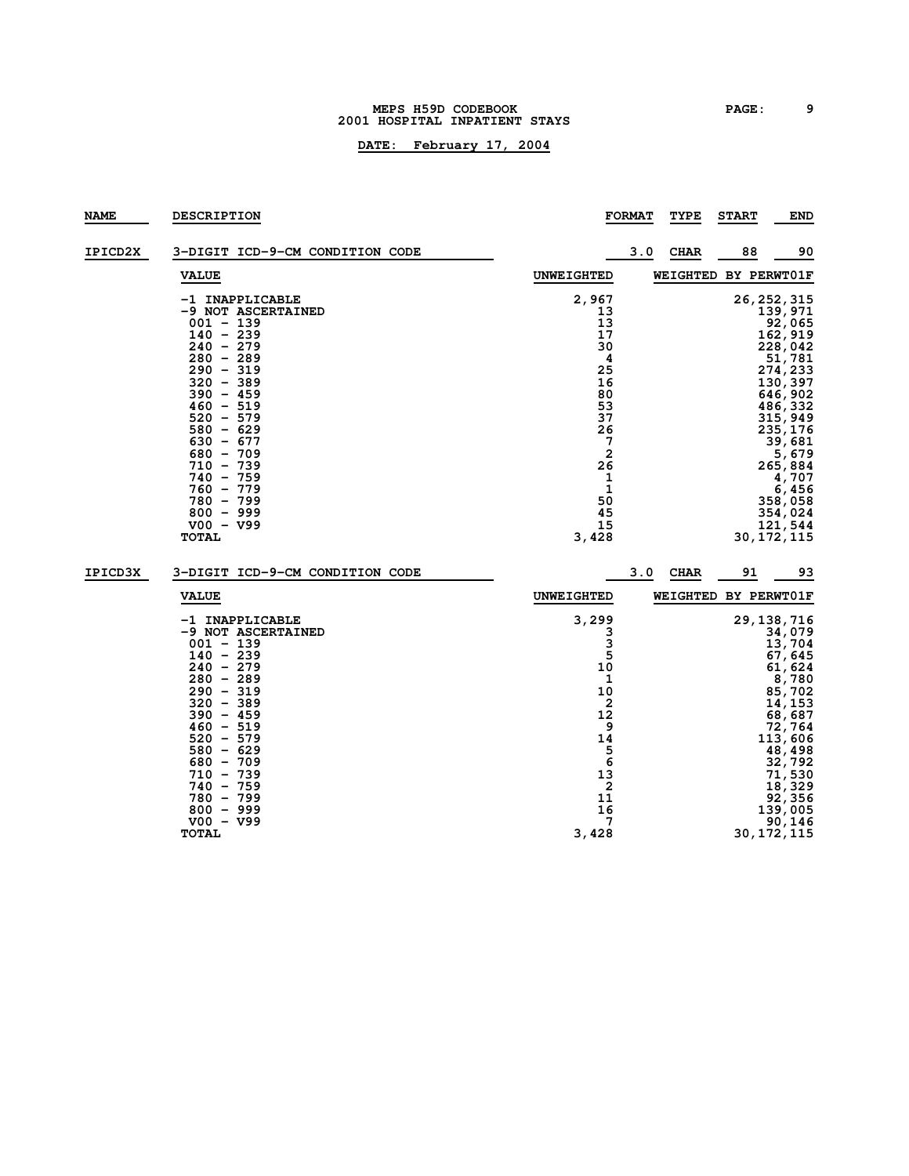#### **MEPS H59D CODEBOOK PAGE: 9 HOSPITAL INPATIENT STAYS**

## **DATE: February 17, 2004**

| <b>NAME</b> | <b>DESCRIPTION</b>                                                                                                                                                                                                                                                                                                                  |                                                                                                                                                   | <b>FORMAT</b> | <b>TYPE</b> | <b>START</b>         | <b>END</b>                                                                                                                                                                                                                           |
|-------------|-------------------------------------------------------------------------------------------------------------------------------------------------------------------------------------------------------------------------------------------------------------------------------------------------------------------------------------|---------------------------------------------------------------------------------------------------------------------------------------------------|---------------|-------------|----------------------|--------------------------------------------------------------------------------------------------------------------------------------------------------------------------------------------------------------------------------------|
| IPICD2X     | 3-DIGIT ICD-9-CM CONDITION CODE                                                                                                                                                                                                                                                                                                     |                                                                                                                                                   | 3.0           | <b>CHAR</b> | 88                   | 90                                                                                                                                                                                                                                   |
|             | <b>VALUE</b>                                                                                                                                                                                                                                                                                                                        | <b>UNWEIGHTED</b>                                                                                                                                 |               |             | WEIGHTED BY PERWT01F |                                                                                                                                                                                                                                      |
|             | -1 INAPPLICABLE<br>-9 NOT ASCERTAINED<br>$001 - 139$<br>$140 - 239$<br>$240 - 279$<br>$280 - 289$<br>$290 - 319$<br>$320 - 389$<br>$390 - 459$<br>$460 - 519$<br>$520 - 579$<br>$580 - 629$<br>$630 - 677$<br>$680 - 709$<br>$710 - 739$<br>$740 - 759$<br>$760 - 779$<br>$780 - 799$<br>$800 - 999$<br>$V00 - V99$<br><b>TOTAL</b> | 2,967<br>13<br>13<br>17<br>30<br>4<br>25<br>16<br>80<br>53<br>37<br>26<br>7<br>$\overline{\mathbf{2}}$<br>26<br>1<br>1<br>50<br>45<br>15<br>3,428 |               |             |                      | 26, 252, 315<br>139,971<br>92,065<br>162,919<br>228,042<br>51,781<br>274,233<br>130,397<br>646,902<br>486,332<br>315,949<br>235,176<br>39,681<br>5,679<br>265,884<br>4,707<br>6,456<br>358,058<br>354,024<br>121,544<br>30, 172, 115 |
| IPICD3X     | 3-DIGIT ICD-9-CM CONDITION CODE                                                                                                                                                                                                                                                                                                     |                                                                                                                                                   | 3.0           | <b>CHAR</b> | 91                   | 93                                                                                                                                                                                                                                   |
|             | <b>VALUE</b>                                                                                                                                                                                                                                                                                                                        | <b>UNWEIGHTED</b>                                                                                                                                 |               |             | WEIGHTED BY PERWT01F |                                                                                                                                                                                                                                      |
|             | -1 INAPPLICABLE<br>-9 NOT ASCERTAINED<br>$001 - 139$<br>$140 - 239$<br>$240 - 279$<br>$280 - 289$<br>$290 - 319$<br>$320 - 389$<br>$390 - 459$<br>$460 - 519$<br>$520 - 579$<br>$580 - 629$                                                                                                                                         | 3,299<br>3<br>3<br>5<br>10<br>1<br>10<br>2<br>12<br>9<br>14<br>5                                                                                  |               |             |                      | 29, 138, 716<br>34,079<br>13,704<br>67,645<br>61,624<br>8,780<br>85,702<br>14,153<br>68,687<br>72,764<br>113,606<br>48,498                                                                                                           |

 **- 709 6 32,792 - 739 13 71,530 - 759 2 18,329 - 799 11 92,356 - 999 16 139,005 V00 - V99 7 90,146 TOTAL 3,428 30,172,115**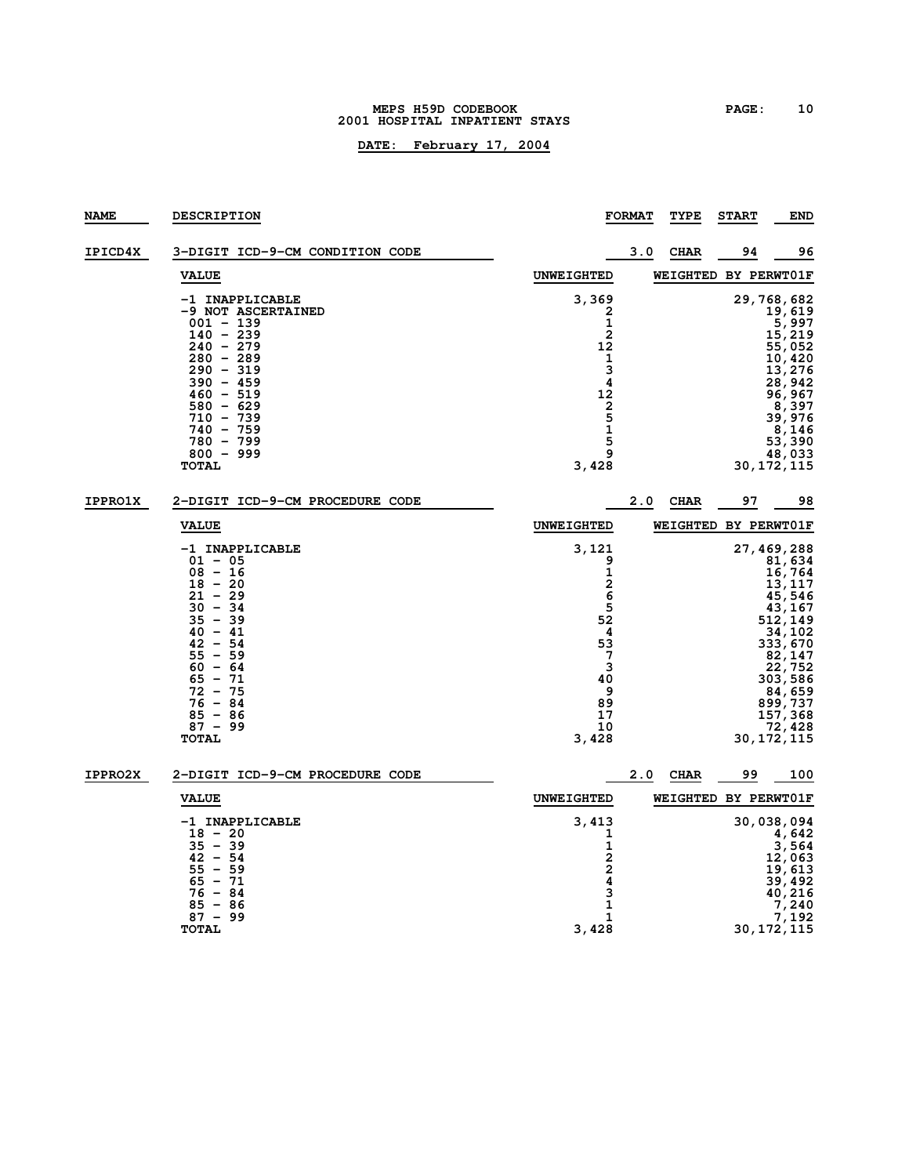#### **MEPS H59D CODEBOOK PAGE: 10 HOSPITAL INPATIENT STAYS**

| NAME           | <b>DESCRIPTION</b>                                                                                                                                                                                                                   |                                                                                                    | <b>FORMAT</b> | TYPE        | <b>START</b>         | <b>END</b>                                                                                                                                                                            |
|----------------|--------------------------------------------------------------------------------------------------------------------------------------------------------------------------------------------------------------------------------------|----------------------------------------------------------------------------------------------------|---------------|-------------|----------------------|---------------------------------------------------------------------------------------------------------------------------------------------------------------------------------------|
| IPICD4X        | 3-DIGIT ICD-9-CM CONDITION CODE                                                                                                                                                                                                      |                                                                                                    | 3.0           | <b>CHAR</b> | 94                   | 96                                                                                                                                                                                    |
|                | <b>VALUE</b>                                                                                                                                                                                                                         | <b>UNWEIGHTED</b>                                                                                  |               |             | WEIGHTED BY PERWT01F |                                                                                                                                                                                       |
|                | -1 INAPPLICABLE<br>-9 NOT ASCERTAINED<br>$001 - 139$<br>$140 - 239$<br>$240 - 279$<br>$280 - 289$<br>$290 - 319$<br>$390 - 459$<br>$460 - 519$<br>$580 - 629$<br>$710 - 739$<br>$740 - 759$<br>$780 - 799$<br>$800 - 999$<br>TOTAL   | 3,369<br>2<br>$\mathbf 1$<br>2<br>12<br>1<br>3<br>4<br>12<br>$\frac{2}{5}$<br>1<br>5<br>9<br>3,428 |               |             |                      | 29,768,682<br>19,619<br>5, 997<br>15, 219<br>55,052<br>10,420<br>13,276<br>28,942<br>96, 967<br>8,397<br>39,976<br>8,146<br>53,390<br>48,033<br>30,172,115                            |
| <b>IPPRO1X</b> | 2-DIGIT ICD-9-CM PROCEDURE CODE                                                                                                                                                                                                      |                                                                                                    | 2.0           | <b>CHAR</b> | 97                   | 98                                                                                                                                                                                    |
|                | <b>VALUE</b>                                                                                                                                                                                                                         | <b>UNWEIGHTED</b>                                                                                  |               |             | WEIGHTED BY PERWT01F |                                                                                                                                                                                       |
|                | -1 INAPPLICABLE<br>$01 - 05$<br>$08 - 16$<br>$18 - 20$<br>$21 - 29$<br>$30 - 34$<br>$35 - 39$<br>$40 - 41$<br>$42 - 54$<br>$-59$<br>55<br>$60 - 64$<br>$65 - 71$<br>$72 - 75$<br>$76 - 84$<br>$85 - 86$<br>$87 - 99$<br><b>TOTAL</b> | 3,121<br>9<br>1<br>2<br>6<br>5<br>52<br>4<br>53<br>7<br>3<br>40<br>9<br>89<br>17<br>10<br>3,428    |               |             |                      | 27, 469, 288<br>81,634<br>16,764<br>13,117<br>45,546<br>43,167<br>512,149<br>34,102<br>333,670<br>82,147<br>22,752<br>303,586<br>84,659<br>899,737<br>157,368<br>72,428<br>30,172,115 |
| <b>IPPRO2X</b> | 2-DIGIT ICD-9-CM PROCEDURE CODE                                                                                                                                                                                                      |                                                                                                    | 2.0           | <b>CHAR</b> | 99                   | 100                                                                                                                                                                                   |
|                | <b>VALUE</b>                                                                                                                                                                                                                         | <b>UNWEIGHTED</b>                                                                                  |               |             | WEIGHTED BY PERWT01F |                                                                                                                                                                                       |
|                | -1 INAPPLICABLE<br>$18 - 20$<br>$35 - 39$<br>$42 - 54$<br>$-59$<br>55<br>$65 - 71$<br>$76 - 84$<br>$85 - 86$<br>$87 - 99$<br><b>TOTAL</b>                                                                                            | 3,413<br>1<br>1<br>$\frac{2}{2}$<br>3<br>1<br>1<br>3,428                                           |               |             |                      | 30,038,094<br>4,642<br>3,564<br>12,063<br>19,613<br>39,492<br>40,216<br>7,240<br>7,192<br>30,172,115                                                                                  |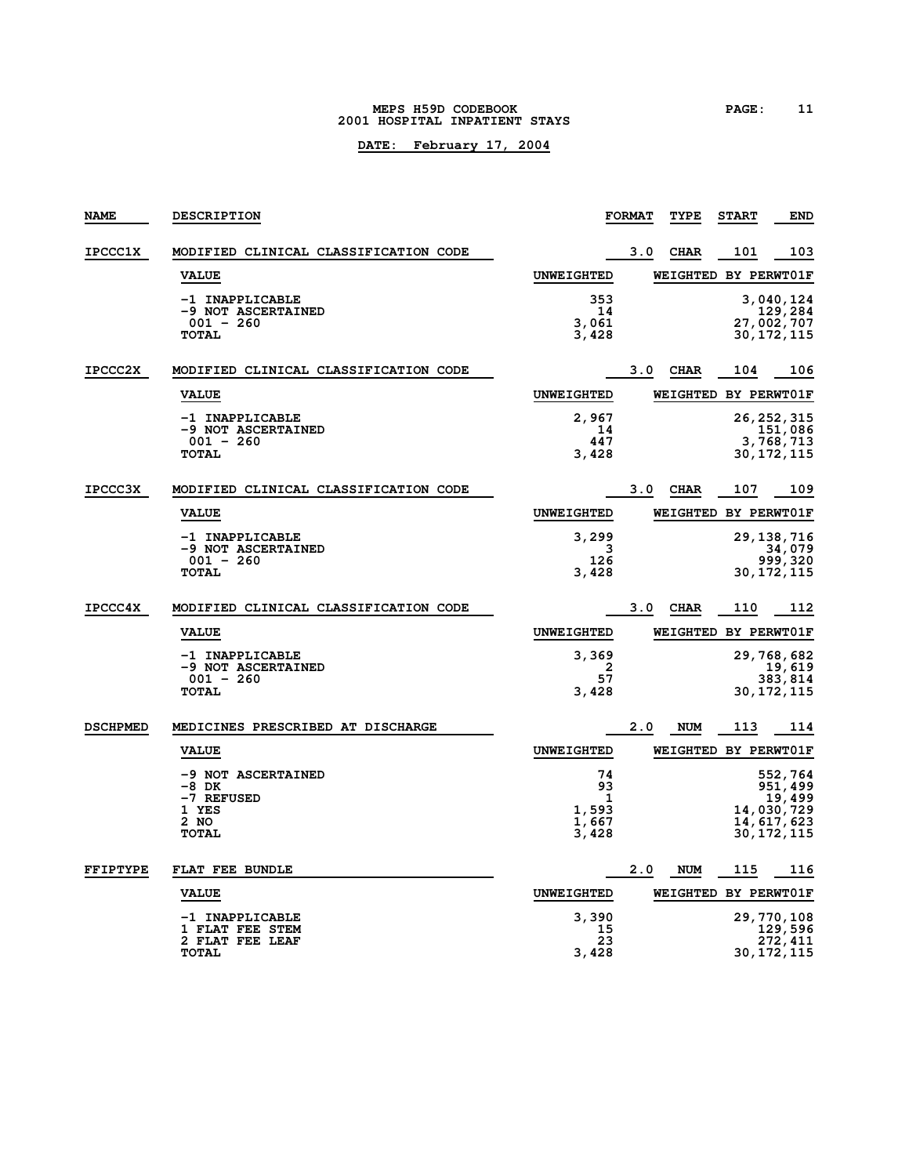#### **MEPS H59D CODEBOOK PAGE: 11 2001 HOSPITAL INPATIENT STAYS**

| <b>NAME</b>     | DESCRIPTION                                      |                   | <b>FORMAT</b> | TYPE                 | <b>START</b> | <b>END</b>            |
|-----------------|--------------------------------------------------|-------------------|---------------|----------------------|--------------|-----------------------|
| <b>IPCCC1X</b>  | MODIFIED CLINICAL CLASSIFICATION CODE            |                   | 3.0           | <b>CHAR</b>          | 101          | 103                   |
|                 | <b>VALUE</b>                                     | <b>UNWEIGHTED</b> |               | WEIGHTED BY PERWT01F |              |                       |
|                 | -1 INAPPLICABLE                                  | 353               |               |                      |              | 3,040,124             |
|                 | -9 NOT ASCERTAINED<br>$001 - 260$                | 14<br>3,061       |               |                      |              | 129,284<br>27,002,707 |
|                 | <b>TOTAL</b>                                     | 3,428             |               |                      |              | 30, 172, 115          |
| <b>IPCCC2X</b>  | MODIFIED CLINICAL CLASSIFICATION CODE            |                   | 3.0           | <b>CHAR</b>          | 104          | 106                   |
|                 | <b>VALUE</b>                                     | <b>UNWEIGHTED</b> |               | WEIGHTED BY PERWT01F |              |                       |
|                 | -1 INAPPLICABLE                                  | 2,967             |               |                      |              | 26, 252, 315          |
|                 | <b>-9 NOT ASCERTAINED</b><br>$001 - 260$         | 14<br>447         |               |                      |              | 151,086<br>3,768,713  |
|                 | <b>TOTAL</b>                                     | 3,428             |               |                      |              | 30, 172, 115          |
| <b>IPCCC3X</b>  | MODIFIED CLINICAL CLASSIFICATION CODE            |                   | 3.0           | <b>CHAR</b>          | 107          | 109                   |
|                 | <b>VALUE</b>                                     | <b>UNWEIGHTED</b> |               | WEIGHTED BY PERWT01F |              |                       |
|                 | -1 INAPPLICABLE                                  | 3,299             |               |                      |              | 29, 138, 716          |
|                 | -9 NOT ASCERTAINED<br>$001 - 260$                | 3<br>126          |               |                      |              | 34,079<br>999,320     |
|                 | <b>TOTAL</b>                                     | 3,428             |               |                      |              | 30, 172, 115          |
| <b>IPCCC4X</b>  | MODIFIED CLINICAL CLASSIFICATION CODE            |                   | 3.0           | <b>CHAR</b>          | 110          | 112                   |
|                 | <b>VALUE</b>                                     | <b>UNWEIGHTED</b> |               | WEIGHTED BY PERWT01F |              |                       |
|                 | -1 INAPPLICABLE                                  | 3,369             |               |                      |              | 29, 768, 682          |
|                 | <b>-9 NOT ASCERTAINED</b><br>$001 - 260$         | 2<br>57           |               |                      |              | 19,619<br>383,814     |
|                 | <b>TOTAL</b>                                     | 3,428             |               |                      |              | 30, 172, 115          |
| <b>DSCHPMED</b> | MEDICINES PRESCRIBED AT DISCHARGE                |                   | 2.0           | <b>NUM</b>           | 113          | 114                   |
|                 | <b>VALUE</b>                                     | <b>UNWEIGHTED</b> |               | WEIGHTED BY PERWT01F |              |                       |
|                 | -9 NOT ASCERTAINED                               | 74                |               |                      |              | 552,764               |
|                 | -8 DK                                            | 93                |               |                      |              | 951,499               |
|                 | -7 REFUSED<br>1 YES                              | 1<br>1,593        |               |                      |              | 19,499<br>14,030,729  |
|                 | 2 NO                                             | 1,667             |               |                      |              | 14, 617, 623          |
|                 | <b>TOTAL</b>                                     | 3,428             |               |                      |              | 30, 172, 115          |
| <b>FFIPTYPE</b> | FLAT FEE BUNDLE                                  |                   | 2.0           | <b>NUM</b>           | 115          | 116                   |
|                 | <b>VALUE</b>                                     | <b>UNWEIGHTED</b> |               | WEIGHTED BY PERWT01F |              |                       |
|                 | -1 INAPPLICABLE                                  | 3,390             |               |                      |              | 29,770,108            |
|                 | <b>1 FLAT FEE STEM</b><br><b>2 FLAT FEE LEAF</b> | 15<br>23          |               |                      |              | 129,596<br>272,411    |
|                 | <b>TOTAL</b>                                     | 3,428             |               |                      |              | 30, 172, 115          |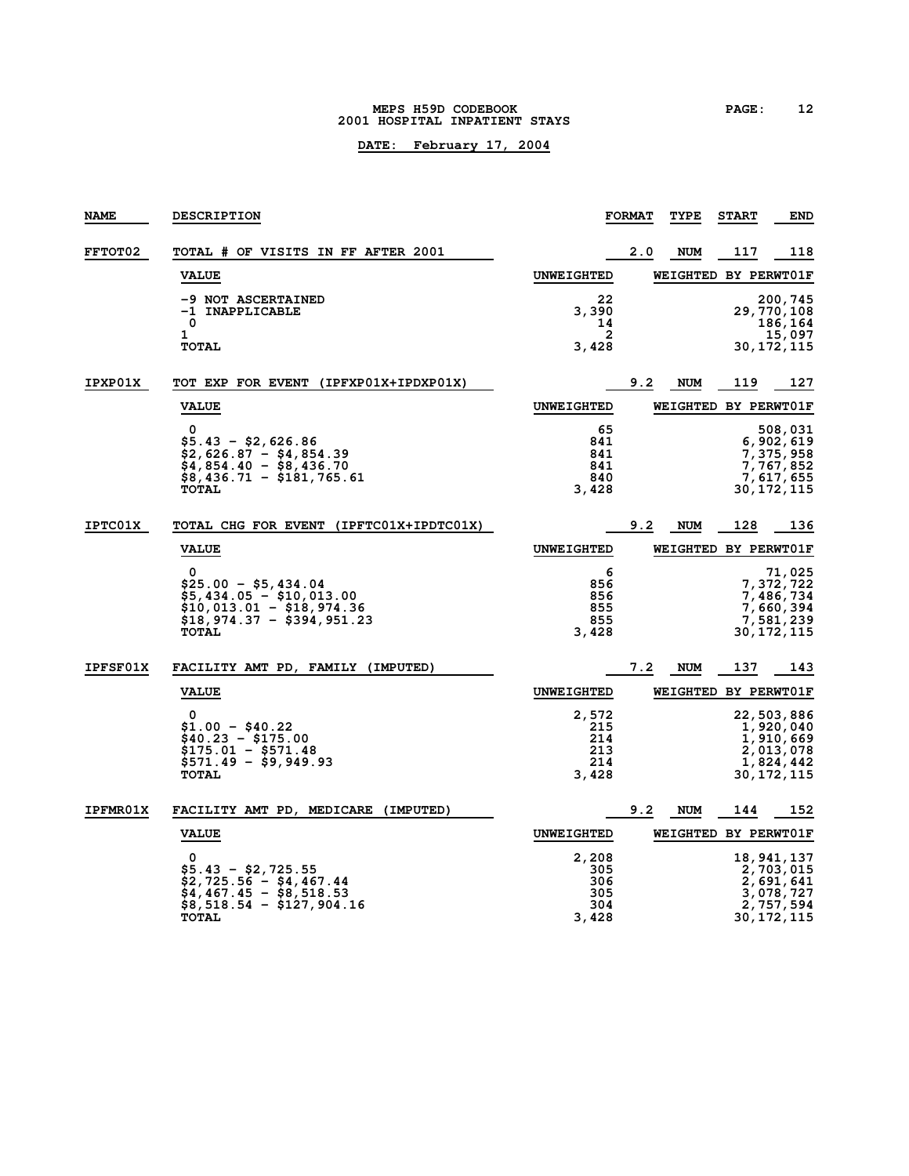#### **MEPS H59D CODEBOOK PAGE: 12 2001 HOSPITAL INPATIENT STAYS**

| <b>NAME</b>     | <b>DESCRIPTION</b>                                                                                                                 |                                            | <b>FORMAT</b> | TYPE       | <b>START</b>         | <b>END</b>                                                                       |
|-----------------|------------------------------------------------------------------------------------------------------------------------------------|--------------------------------------------|---------------|------------|----------------------|----------------------------------------------------------------------------------|
| <b>FFTOT02</b>  | TOTAL # OF VISITS IN FF AFTER 2001                                                                                                 |                                            | 2.0           | <b>NUM</b> | 117                  | 118                                                                              |
|                 | <b>VALUE</b>                                                                                                                       | <b>UNWEIGHTED</b>                          |               |            | WEIGHTED BY PERWT01F |                                                                                  |
|                 | -9 NOT ASCERTAINED<br>-1 INAPPLICABLE<br>0<br>1<br><b>TOTAL</b>                                                                    | 22<br>3,390<br>14<br>2<br>3,428            |               |            |                      | 200,745<br>29,770,108<br>186,164<br>15,097<br>30,172,115                         |
| IPXP01X         | TOT EXP FOR EVENT (IPFXP01X+IPDXP01X)                                                                                              |                                            | 9.2           | <b>NUM</b> | 119                  | 127                                                                              |
|                 | <b>VALUE</b>                                                                                                                       | <b>UNWEIGHTED</b>                          |               |            | WEIGHTED BY PERWT01F |                                                                                  |
|                 | $\Omega$<br>\$5.43 - \$2,626.86<br>\$2,626.87 - \$4,854.39<br>\$4,854.40 - \$8,436.70<br>\$8,436.71 - \$181,765.61<br><b>TOTAL</b> | 65<br>841<br>841<br>841<br>840<br>3,428    |               |            |                      | 508,031<br>6,902,619<br>7,375,958<br>7,767,852<br>7,617,655<br>30,172,115        |
| <b>IPTC01X</b>  | TOTAL CHG FOR EVENT (IPFTC01X+IPDTC01X)                                                                                            |                                            | 9.2           | <b>NUM</b> | 128                  | 136                                                                              |
|                 | <b>VALUE</b>                                                                                                                       | <b>UNWEIGHTED</b>                          |               |            | WEIGHTED BY PERWT01F |                                                                                  |
|                 | 0<br>\$25.00 - \$5,434.04<br>$$5,434.05 - $10,013.00$<br>$$10,013.01 - $18,974.36$<br>$$18,974.37 - $394.951.23$<br><b>TOTAL</b>   | 6<br>856<br>856<br>855<br>855<br>3,428     |               |            |                      | 71,025<br>7,372,722<br>7,486,734<br>7,660,394<br>7,581,239<br>30, 172, 115       |
| <b>IPFSF01X</b> | FACILITY AMT PD, FAMILY (IMPUTED)                                                                                                  |                                            | 7.2           | <b>NUM</b> | 137                  | 143                                                                              |
|                 | <b>VALUE</b>                                                                                                                       | <b>UNWEIGHTED</b>                          |               |            | WEIGHTED BY PERWT01F |                                                                                  |
|                 | $\Omega$<br>\$1.00 - \$40.22<br>\$40.23 - \$175.00<br>$$175.01 - $571.48$<br>\$571.49 - \$9,949.93<br><b>TOTAL</b>                 | 2,572<br>215<br>214<br>213<br>214<br>3,428 |               |            |                      | 22,503,886<br>1,920,040<br>1,910,669<br>2,013,078<br>1,824,442<br>30, 172, 115   |
| <b>IPFMR01X</b> | FACILITY AMT PD, MEDICARE (IMPUTED)                                                                                                |                                            | 9.2           | NUM        | 144                  | 152                                                                              |
|                 | <b>VALUE</b>                                                                                                                       | <b>UNWEIGHTED</b>                          |               |            | WEIGHTED BY PERWT01F |                                                                                  |
|                 | 0<br>$$5.43 - $2,725.55$<br>\$2,725.56 - \$4,467.44<br>$$4,467.45 - $8,518.53$<br>\$8,518.54 - \$127,904.16<br><b>TOTAL</b>        | 2,208<br>305<br>306<br>305<br>304<br>3,428 |               |            |                      | 18, 941, 137<br>2,703,015<br>2,691,641<br>3,078,727<br>2,757,594<br>30, 172, 115 |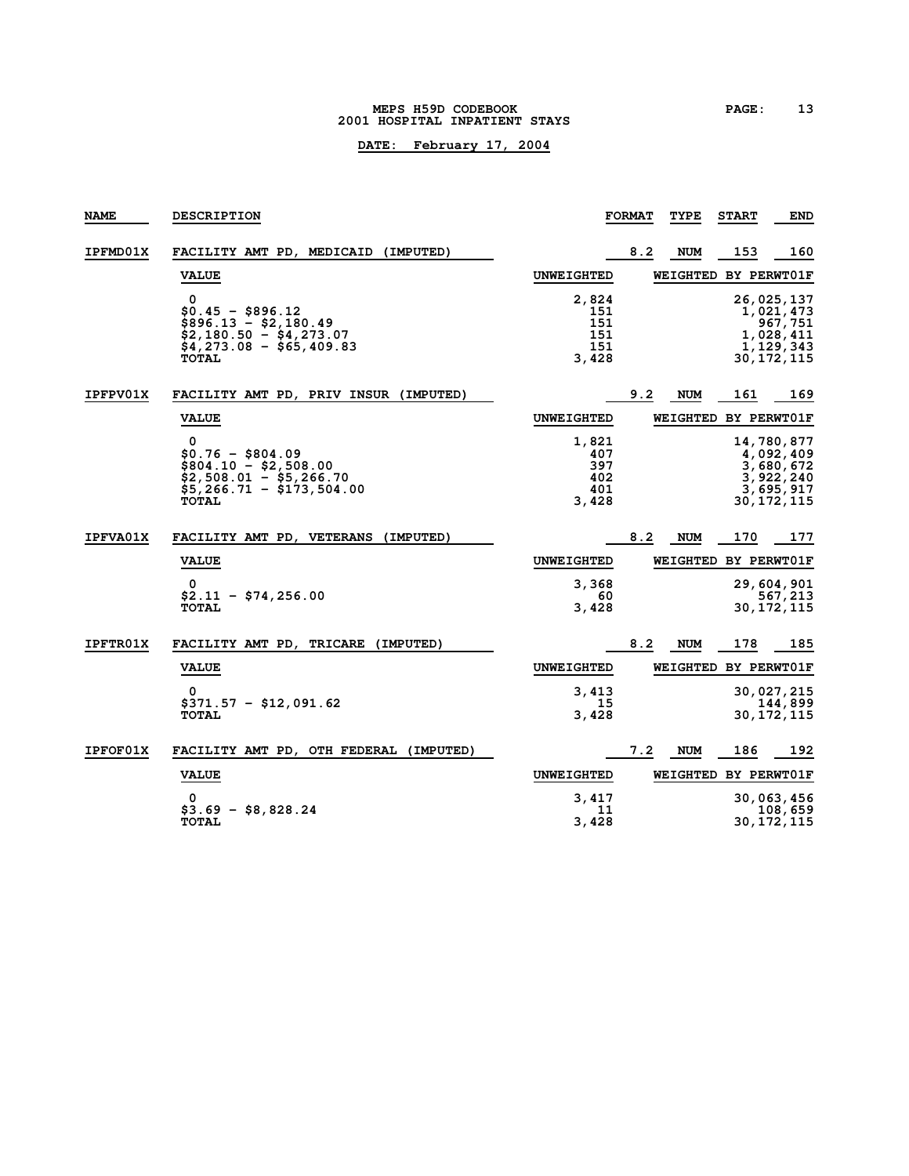#### **MEPS H59D CODEBOOK PAGE: 13 2001 HOSPITAL INPATIENT STAYS**

| <b>NAME</b>     | <b>DESCRIPTION</b>                                                                                                      |                                            | <b>FORMAT</b> | TYPE                 | <b>START</b> | <b>END</b>                                                                     |
|-----------------|-------------------------------------------------------------------------------------------------------------------------|--------------------------------------------|---------------|----------------------|--------------|--------------------------------------------------------------------------------|
| <b>IPFMD01X</b> | FACILITY AMT PD, MEDICAID<br>(IMPUTED)                                                                                  |                                            | 8.2           | <b>NUM</b>           | 153          | 160                                                                            |
|                 | <b>VALUE</b>                                                                                                            | <b>UNWEIGHTED</b>                          |               | WEIGHTED BY PERWT01F |              |                                                                                |
|                 | 0<br>$$0.45 - $896.12$<br>$$896.13 - $2,180.49$<br>$$2,180.50 - $4,273.07$<br>$$4,273.08 - $65,409.83$<br><b>TOTAL</b>  | 2,824<br>151<br>151<br>151<br>151<br>3,428 |               |                      |              | 26,025,137<br>1,021,473<br>967,751<br>1,028,411<br>1, 129, 343<br>30, 172, 115 |
| <b>IPFPV01X</b> | FACILITY AMT PD, PRIV INSUR (IMPUTED)                                                                                   |                                            | 9.2           | NUM                  | 161          | 169                                                                            |
|                 | <b>VALUE</b>                                                                                                            | <b>UNWEIGHTED</b>                          |               | WEIGHTED BY PERWT01F |              |                                                                                |
|                 | 0<br>$$0.76 - $804.09$<br>$$804.10 - $2,508.00$<br>$$2,508.01 - $5,266.70$<br>$$5,266.71 - $173,504.00$<br><b>TOTAL</b> | 1,821<br>407<br>397<br>402<br>401<br>3,428 |               |                      |              | 14,780,877<br>4,092,409<br>3,680,672<br>3,922,240<br>3,695,917<br>30, 172, 115 |
| <b>IPFVA01X</b> | FACILITY AMT PD, VETERANS<br>(IMPUTED)                                                                                  |                                            | 8.2           | <b>NUM</b>           | 170          | 177                                                                            |
|                 | <b>VALUE</b>                                                                                                            | <b>UNWEIGHTED</b>                          |               | WEIGHTED BY PERWT01F |              |                                                                                |
|                 | 0<br>$$2.11 - $74, 256.00$<br><b>TOTAL</b>                                                                              | 3,368<br>60<br>3,428                       |               |                      |              | 29,604,901<br>567,213<br>30, 172, 115                                          |
| <b>IPFTR01X</b> | FACILITY AMT PD, TRICARE<br>(IMPUTED)                                                                                   |                                            | 8.2           | NUM                  | 178          | 185                                                                            |
|                 | <b>VALUE</b>                                                                                                            | <b>UNWEIGHTED</b>                          |               | WEIGHTED BY PERWT01F |              |                                                                                |
|                 | 0<br>$$371.57 - $12,091.62$<br><b>TOTAL</b>                                                                             | 3,413<br>15<br>3,428                       |               |                      |              | 30,027,215<br>144,899<br>30, 172, 115                                          |
| <b>IPFOF01X</b> | FACILITY AMT PD, OTH FEDERAL (IMPUTED)                                                                                  |                                            | 7.2           | <b>NUM</b>           | 186          | 192                                                                            |
|                 | <b>VALUE</b>                                                                                                            | <b>UNWEIGHTED</b>                          |               | WEIGHTED BY PERWT01F |              |                                                                                |
|                 | 0<br>$$3.69 - $8,828.24$<br><b>TOTAL</b>                                                                                | 3,417<br>11<br>3,428                       |               |                      |              | 30,063,456<br>108,659<br>30, 172, 115                                          |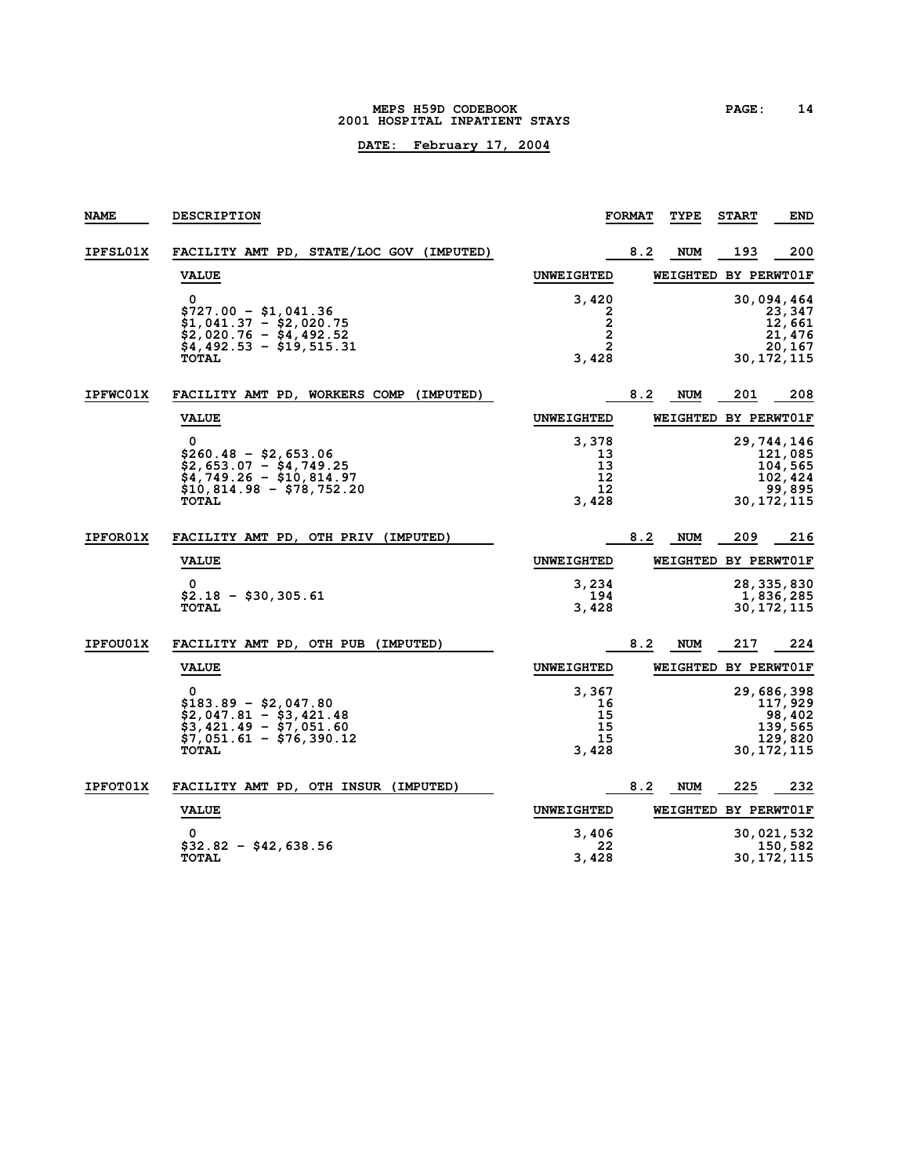#### **MEPS H59D CODEBOOK PAGE: 14 2001 HOSPITAL INPATIENT STAYS**

| <b>NAME</b>     | <b>DESCRIPTION</b>                                                                                                             |                                        | <b>FORMAT</b> | TYPE                 | <b>START</b> | <b>END</b>                                                            |
|-----------------|--------------------------------------------------------------------------------------------------------------------------------|----------------------------------------|---------------|----------------------|--------------|-----------------------------------------------------------------------|
| <b>IPFSL01X</b> | FACILITY AMT PD, STATE/LOC GOV (IMPUTED)                                                                                       |                                        | 8.2           | <b>NUM</b>           | 193          | 200                                                                   |
|                 | <b>VALUE</b>                                                                                                                   | <b>UNWEIGHTED</b>                      |               | WEIGHTED BY PERWT01F |              |                                                                       |
|                 | 0<br>$$727.00 - $1,041.36$<br>$$1,041.37 - $2,020.75$<br>$$2,020.76 - $4,492.52$<br>$$4,492.53 - $19,515.31$                   | 3,420<br>2<br>2<br>2<br>$\overline{2}$ |               |                      |              | 30,094,464<br>23,347<br>12,661<br>21,476<br>20,167                    |
| <b>IPFWC01X</b> | <b>TOTAL</b><br>FACILITY AMT PD, WORKERS COMP<br>(IMPUTED)                                                                     | 3,428                                  | 8.2           | <b>NUM</b>           | 201          | 30,172,115<br>208                                                     |
|                 | <b>VALUE</b>                                                                                                                   | <b>UNWEIGHTED</b>                      |               | WEIGHTED BY PERWT01F |              |                                                                       |
|                 | 0<br>$$260.48 - $2,653.06$<br>$$2,653.07 - $4,749.25$<br>$$4,749.26 - $10,814.97$<br>\$10,814.98 - \$78,752.20<br><b>TOTAL</b> | 3,378<br>13<br>13<br>12<br>12<br>3,428 |               |                      |              | 29,744,146<br>121,085<br>104,565<br>102,424<br>99,895<br>30, 172, 115 |
| <b>IPFOR01X</b> | FACILITY AMT PD, OTH PRIV (IMPUTED)                                                                                            |                                        | 8.2           | NUM                  | 209          | 216                                                                   |
|                 | <b>VALUE</b>                                                                                                                   | <b>UNWEIGHTED</b>                      |               | WEIGHTED BY PERWT01F |              |                                                                       |
|                 | 0<br>$$2.18 - $30.305.61$<br><b>TOTAL</b>                                                                                      | 3,234<br>194<br>3,428                  |               |                      |              | 28, 335, 830<br>1,836,285<br>30, 172, 115                             |
| IPFOU01X        | FACILITY AMT PD, OTH PUB (IMPUTED)                                                                                             |                                        | 8.2           | <b>NUM</b>           | 217          | 224                                                                   |
|                 | <b>VALUE</b>                                                                                                                   | <b>UNWEIGHTED</b>                      |               | WEIGHTED BY PERWT01F |              |                                                                       |
|                 | 0<br>$$183.89 - $2,047.80$<br>$$2,047.81 - $3,421.48$<br>$$3,421.49 - $7,051.60$<br>$$7,051.61 - $76,390.12$<br><b>TOTAL</b>   | 3,367<br>16<br>15<br>15<br>15<br>3,428 |               |                      |              | 29,686,398<br>117,929<br>98,402<br>139,565<br>129,820<br>30,172,115   |
| <b>IPFOT01X</b> | FACILITY AMT PD, OTH INSUR<br>(IMPUTED)                                                                                        |                                        | 8.2           | <b>NUM</b>           | 225          | 232                                                                   |
|                 | <b>VALUE</b>                                                                                                                   | <b>UNWEIGHTED</b>                      |               | WEIGHTED BY PERWT01F |              |                                                                       |
|                 | 0<br>\$32.82 - \$42,638.56<br><b>TOTAL</b>                                                                                     | 3,406<br>22<br>3,428                   |               |                      |              | 30,021,532<br>150,582<br>30,172,115                                   |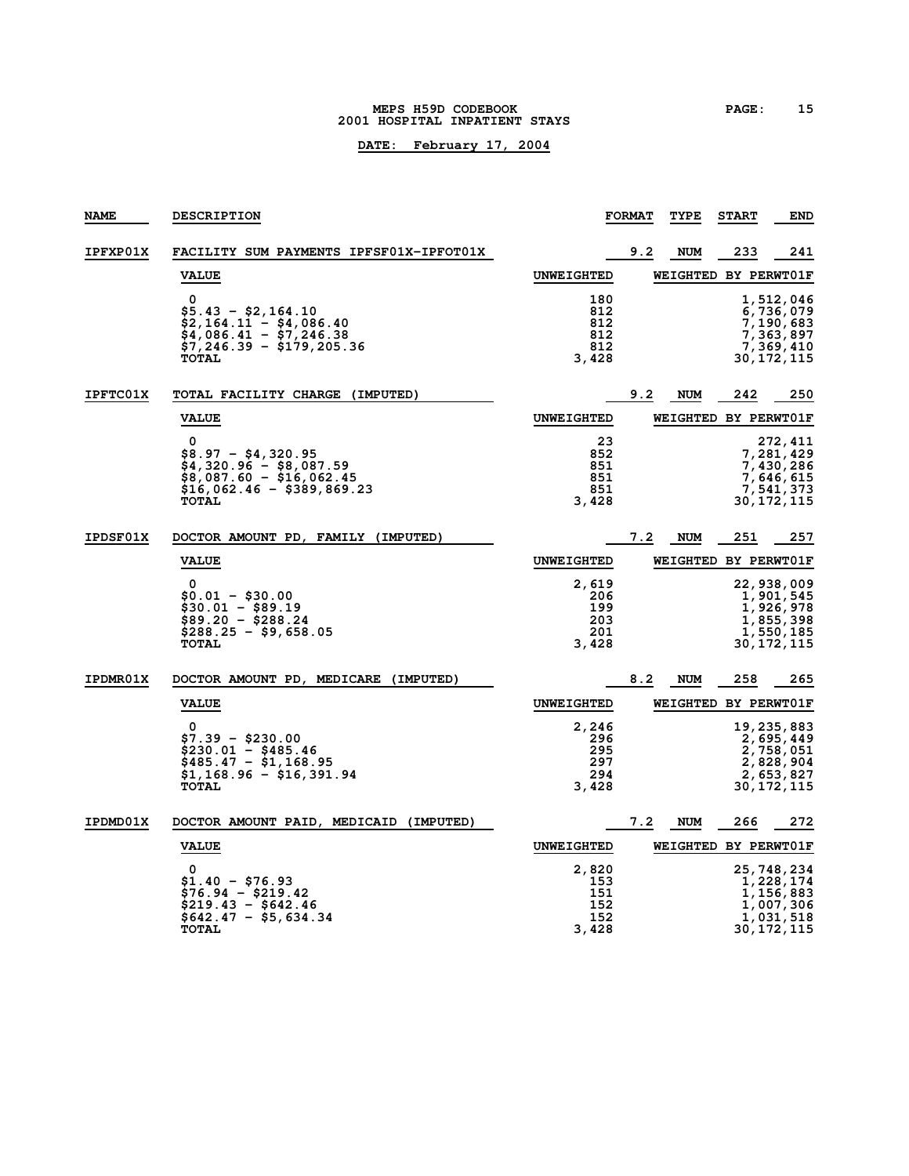#### **MEPS H59D CODEBOOK PAGE: 15 2001 HOSPITAL INPATIENT STAYS**

| <b>NAME</b>     | <b>DESCRIPTION</b>                                                                                                                                     |                                            | <b>FORMAT</b> | <b>TYPE</b>                 | <b>START</b> | <b>END</b>                                                                     |
|-----------------|--------------------------------------------------------------------------------------------------------------------------------------------------------|--------------------------------------------|---------------|-----------------------------|--------------|--------------------------------------------------------------------------------|
| <b>IPFXP01X</b> | FACILITY SUM PAYMENTS IPFSF01X-IPFOT01X                                                                                                                |                                            | 9.2           | NUM                         | 233          | 241                                                                            |
|                 | <b>VALUE</b>                                                                                                                                           | <b>UNWEIGHTED</b>                          |               | <b>WEIGHTED BY PERWTO1F</b> |              |                                                                                |
|                 | $\Omega$<br>\$5.43 - \$2,164.10<br>\$2,164.11 - \$4,086.40<br>$\frac{1}{2}4,086.41 - \frac{1}{2}7.246.38$<br>\$7,246.39 - \$179,205.36<br><b>TOTAL</b> | 180<br>812<br>812<br>812<br>812<br>3,428   |               |                             |              | 1,512,046<br>6,736,079<br>7,190,683<br>7,363,897<br>7,369,410<br>30, 172, 115  |
| <b>IPFTC01X</b> | TOTAL FACILITY CHARGE (IMPUTED)                                                                                                                        |                                            | 9.2           | NUM                         | 242          | 250                                                                            |
|                 | <b>VALUE</b>                                                                                                                                           | <b>UNWEIGHTED</b>                          |               | WEIGHTED BY PERWT01F        |              |                                                                                |
|                 | 0<br>\$8.97 - \$4,320.95<br>$$4,320.96 - $8,087.59$<br>$$8,087.60 - $16,062.45$<br>\$16,062.46 - \$389,869.23<br><b>TOTAL</b>                          | 23<br>852<br>851<br>851<br>851<br>3,428    |               |                             |              | 272, 411<br>7,281,429<br>7,430,286<br>7,646,615<br>7,541,373<br>30,172,115     |
| <b>IPDSF01X</b> | DOCTOR AMOUNT PD, FAMILY (IMPUTED)                                                                                                                     |                                            | 7.2           | <b>NUM</b>                  | 251          | 257                                                                            |
|                 | <b>VALUE</b>                                                                                                                                           | <b>UNWEIGHTED</b>                          |               | WEIGHTED BY PERWT01F        |              |                                                                                |
|                 | $\Omega$<br>$$0.01 - $30.00$<br>\$30.01 - \$89.19<br>$$89.20 - $288.24$<br>$$288.25 - $9,658.05$<br><b>TOTAL</b>                                       | 2,619<br>206<br>199<br>203<br>201<br>3,428 |               |                             |              | 22,938,009<br>1,901,545<br>1,926,978<br>1,855,398<br>1,550,185<br>30,172,115   |
| <b>IPDMR01X</b> | DOCTOR AMOUNT PD, MEDICARE (IMPUTED)                                                                                                                   |                                            | 8.2           | NUM                         | 258          | 265                                                                            |
|                 | <b>VALUE</b>                                                                                                                                           | <b>UNWEIGHTED</b>                          |               | WEIGHTED BY PERWT01F        |              |                                                                                |
|                 | $\Omega$<br>$$7.39 - $230.00$<br>$$230.01 - $485.46$<br>$$485.47 - $1,168.95$<br>\$1,168.96 - \$16,391.94<br><b>TOTAL</b>                              | 2,246<br>296<br>295<br>297<br>294<br>3,428 |               |                             |              | 19,235,883<br>2,695,449<br>2,758,051<br>2,828,904<br>2,653,827<br>30,172,115   |
| IPDMD01X        | DOCTOR AMOUNT PAID, MEDICAID (IMPUTED)                                                                                                                 |                                            | 7.2           | <b>NUM</b>                  | 266          | 272                                                                            |
|                 | <b>VALUE</b>                                                                                                                                           | <b>UNWEIGHTED</b>                          |               | WEIGHTED BY PERWT01F        |              |                                                                                |
|                 | 0<br>$$1.40 - $76.93$<br>$$76.94 - $219.42$<br>$$219.43 - $642.46$<br>\$642.47 - \$5,634.34<br><b>TOTAL</b>                                            | 2,820<br>153<br>151<br>152<br>152<br>3,428 |               |                             |              | 25,748,234<br>1,228,174<br>1,156,883<br>1,007,306<br>1,031,518<br>30, 172, 115 |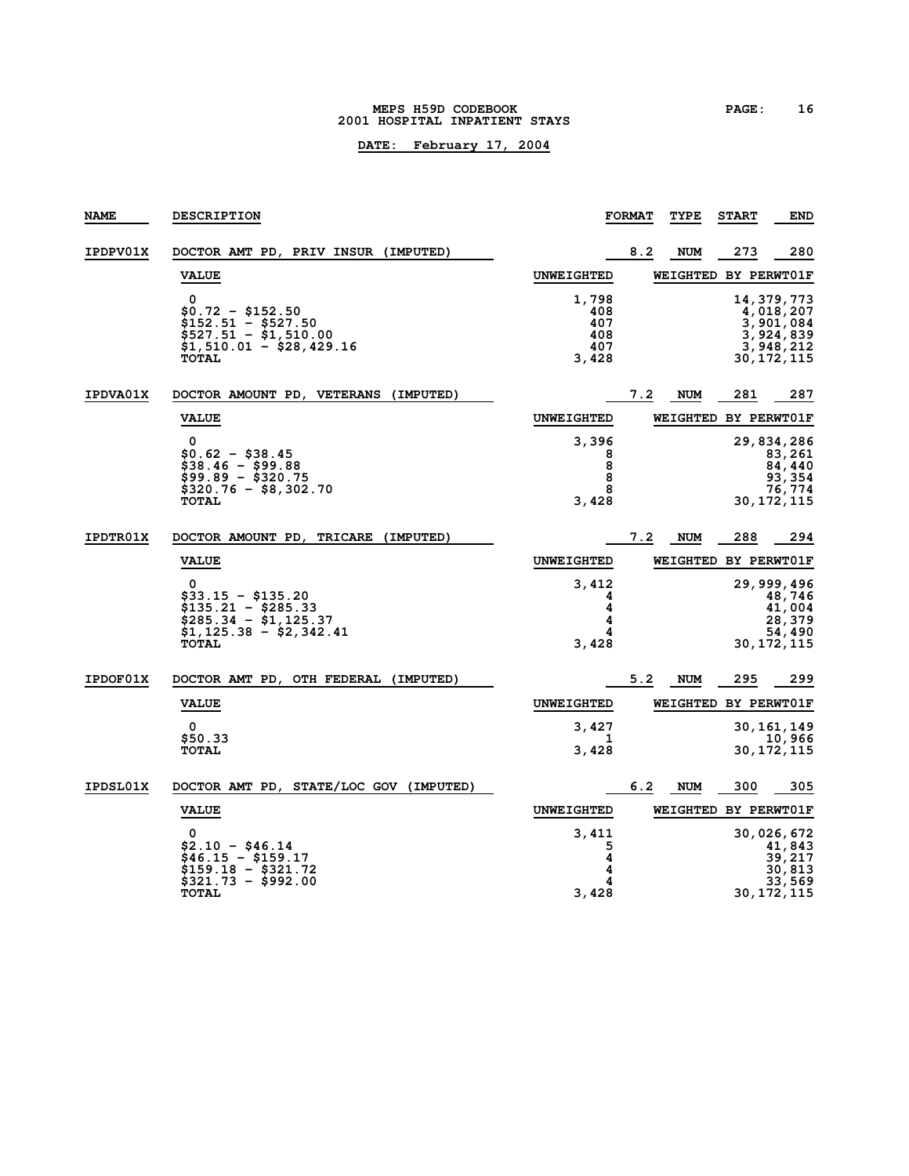#### **MEPS H59D CODEBOOK PAGE: 16 2001 HOSPITAL INPATIENT STAYS**

| <b>NAME</b>     | <b>DESCRIPTION</b>                                                                                                 |                                            | <b>FORMAT</b> | TYPE                 | <b>START</b> | <b>END</b>                                                                       |
|-----------------|--------------------------------------------------------------------------------------------------------------------|--------------------------------------------|---------------|----------------------|--------------|----------------------------------------------------------------------------------|
| IPDPV01X        | DOCTOR AMT PD, PRIV INSUR (IMPUTED)                                                                                |                                            | 8.2           | NUM                  | 273          | 280                                                                              |
|                 | <b>VALUE</b>                                                                                                       | <b>UNWEIGHTED</b>                          |               | WEIGHTED BY PERWT01F |              |                                                                                  |
|                 | 0<br>\$0.72 - \$152.50<br>\$152.51 - \$527.50<br>$$527.51 - $1,510.00$<br>\$1,510.01 - \$28,429.16<br><b>TOTAL</b> | 1,798<br>408<br>407<br>408<br>407<br>3,428 |               |                      |              | 14, 379, 773<br>4,018,207<br>3,901,084<br>3,924,839<br>3,948,212<br>30, 172, 115 |
| <b>IPDVA01X</b> | DOCTOR AMOUNT PD, VETERANS (IMPUTED)                                                                               |                                            | 7.2           | NUM                  | 281          | 287                                                                              |
|                 | <b>VALUE</b>                                                                                                       | <b>UNWEIGHTED</b>                          |               | <b>WEIGHTED</b>      |              | BY PERWT01F                                                                      |
|                 | 0<br>$$0.62 - $38.45$<br>$$38.46 - $99.88$<br>$$99.89 - $320.75$<br>\$320.76 - \$8,302.70                          | 3,396<br>8<br>8<br>8<br>8                  |               |                      |              | 29,834,286<br>83,261<br>84,440<br>93,354<br>76,774                               |
|                 | <b>TOTAL</b>                                                                                                       | 3,428                                      |               |                      |              | 30, 172, 115                                                                     |
| <b>IPDTR01X</b> | (IMPUTED)<br>DOCTOR AMOUNT PD,<br><b>TRICARE</b>                                                                   |                                            | 7.2           | <b>NUM</b>           | 288          | 294                                                                              |
|                 | <b>VALUE</b>                                                                                                       | <b>UNWEIGHTED</b>                          |               | WEIGHTED BY PERWT01F |              |                                                                                  |
|                 | 0<br>\$33.15 - \$135.20<br>$$135.21 - $285.33$<br>$$285.34 - $1,125.37$<br>$$1,125.38 - $2,342.41$<br><b>TOTAL</b> | 3,412<br>4<br>4<br>4<br>4<br>3,428         |               |                      |              | 29, 999, 496<br>48,746<br>41,004<br>28,379<br>54,490<br>30, 172, 115             |
| <b>IPDOF01X</b> | DOCTOR AMT PD, OTH FEDERAL (IMPUTED)                                                                               |                                            | 5.2           | <b>NUM</b>           | 295          | 299                                                                              |
|                 | <b>VALUE</b>                                                                                                       | <b>UNWEIGHTED</b>                          |               | WEIGHTED BY PERWT01F |              |                                                                                  |
|                 | 0<br>\$50.33<br><b>TOTAL</b>                                                                                       | 3,427<br>ı<br>3,428                        |               |                      |              | 30, 161, 149<br>10,966<br>30, 172, 115                                           |
| <b>IPDSL01X</b> | DOCTOR AMT PD, STATE/LOC GOV (IMPUTED)                                                                             |                                            | 6.2           | <b>NUM</b>           | 300          | 305                                                                              |
|                 | <b>VALUE</b>                                                                                                       | <b>UNWEIGHTED</b>                          |               | WEIGHTED             |              | BY PERWT01F                                                                      |
|                 | 0<br>$$2.10 - $46.14$<br>\$46.15 - \$159.17<br>\$159.18 - \$321.72<br>$$321.73 - $992.00$<br><b>TOTAL</b>          | 3,411<br>5<br>4<br>4<br>4<br>3,428         |               |                      |              | 30,026,672<br>41,843<br>39,217<br>30,813<br>33,569<br>30, 172, 115               |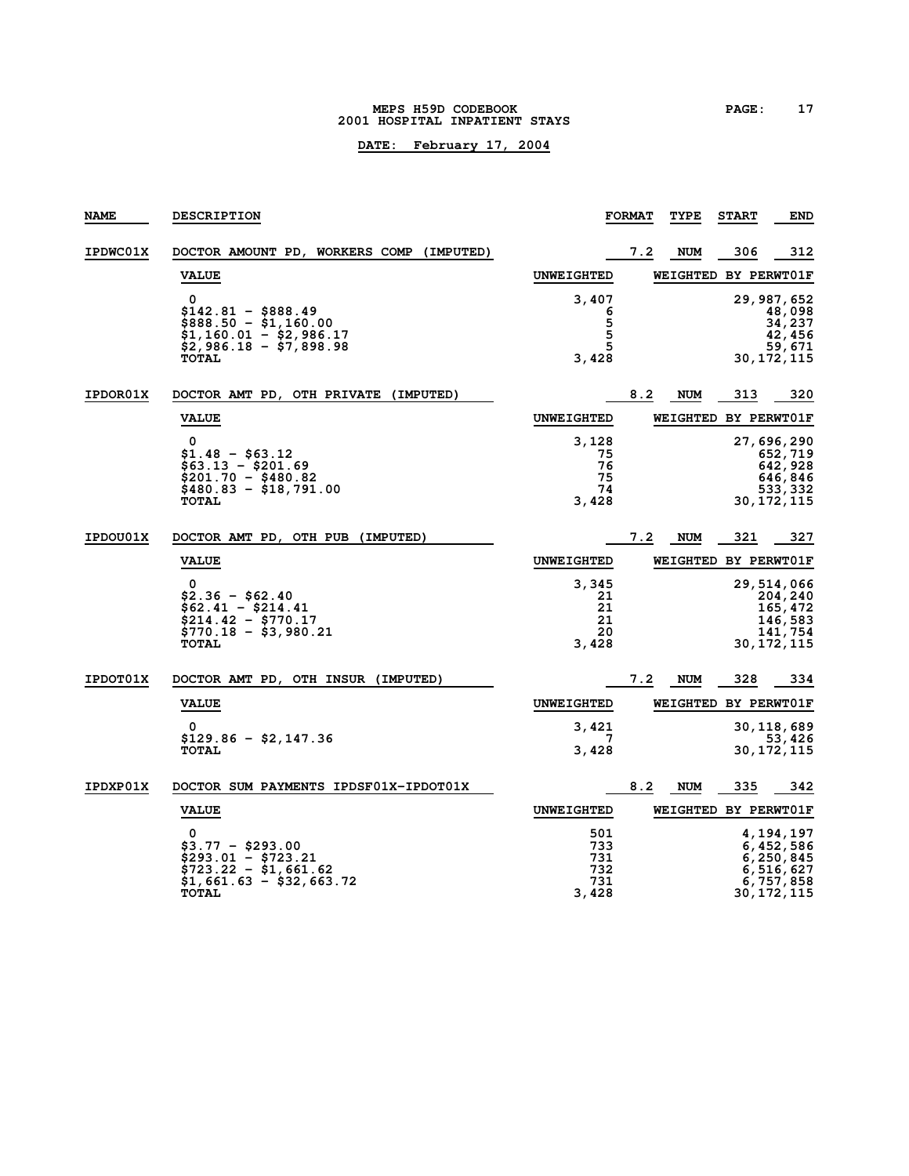#### **MEPS H59D CODEBOOK PAGE: 17 2001 HOSPITAL INPATIENT STAYS**

| <b>NAME</b>     | <b>DESCRIPTION</b>                                                                                                      |                                          | <b>FORMAT</b> | TYPE       | <b>START</b>         | <b>END</b>                                                                    |
|-----------------|-------------------------------------------------------------------------------------------------------------------------|------------------------------------------|---------------|------------|----------------------|-------------------------------------------------------------------------------|
| <b>IPDWC01X</b> | DOCTOR AMOUNT PD, WORKERS COMP (IMPUTED)                                                                                |                                          | 7.2           | NUM        | 306                  | 312                                                                           |
|                 | <b>VALUE</b>                                                                                                            | <b>UNWEIGHTED</b>                        |               |            | WEIGHTED BY PERWT01F |                                                                               |
|                 | 0<br>\$142.81 - \$888.49<br>$$888.50 - $1,160.00$<br>$$1,160.01 - $2,986.17$<br>$$2,986.18 - $7,898.98$<br><b>TOTAL</b> | 3,407<br>6<br>5<br>5<br>5<br>3,428       |               |            |                      | 29, 987, 652<br>48,098<br>34,237<br>42,456<br>59,671<br>30, 172, 115          |
| <b>IPDOR01X</b> | DOCTOR AMT PD, OTH PRIVATE (IMPUTED)                                                                                    |                                          | 8.2           | <b>NUM</b> | 313                  | 320                                                                           |
|                 | <b>VALUE</b>                                                                                                            | <b>UNWEIGHTED</b>                        |               |            | WEIGHTED BY PERWT01F |                                                                               |
|                 | 0<br>$$1.48 - $63.12$<br>$$63.13 - $201.69$<br>$$201.70 - $480.82$<br>$$480.83 - $18,791.00$<br><b>TOTAL</b>            | 3,128<br>75<br>76<br>75<br>74<br>3,428   |               |            |                      | 27,696,290<br>652,719<br>642,928<br>646,846<br>533,332<br>30, 172, 115        |
| IPDOU01X        | DOCTOR AMT PD, OTH PUB (IMPUTED)                                                                                        |                                          | 7.2           | <b>NUM</b> | 321                  | 327                                                                           |
|                 | <b>VALUE</b>                                                                                                            | <b>UNWEIGHTED</b>                        |               |            | WEIGHTED BY PERWT01F |                                                                               |
|                 | 0<br>\$2.36 - \$62.40<br>\$62.41 - \$214.41<br>$$214.42 - $770.17$<br>\$770.18 - \$3,980.21<br><b>TOTAL</b>             | 3,345<br>21<br>21<br>21<br>20<br>3,428   |               |            |                      | 29,514,066<br>204, 240<br>165,472<br>146,583<br>141,754<br>30, 172, 115       |
| <b>IPDOT01X</b> | DOCTOR AMT PD, OTH INSUR (IMPUTED)                                                                                      |                                          | 7.2           | NUM        | 328                  | 334                                                                           |
|                 | <b>VALUE</b>                                                                                                            | <b>UNWEIGHTED</b>                        |               |            | WEIGHTED BY PERWTO1F |                                                                               |
|                 | 0<br>\$129.86 - \$2,147.36<br><b>TOTAL</b>                                                                              | 3,421<br>7<br>3,428                      |               |            |                      | 30, 118, 689<br>53,426<br>30,172,115                                          |
| IPDXP01X        | DOCTOR SUM PAYMENTS IPDSF01X-IPDOT01X                                                                                   |                                          | 8.2           | <b>NUM</b> | 335                  | 342                                                                           |
|                 | <b>VALUE</b>                                                                                                            | <b>UNWEIGHTED</b>                        |               |            | WEIGHTED BY PERWT01F |                                                                               |
|                 | 0<br>\$3.77 - \$293.00<br>\$293.01 - \$723.21<br>\$723.22 - \$1,661.62<br>$$1,661.63 - $32,663.72$<br><b>TOTAL</b>      | 501<br>733<br>731<br>732<br>731<br>3,428 |               |            |                      | 4,194,197<br>6,452,586<br>6,250,845<br>6,516,627<br>6,757,858<br>30, 172, 115 |